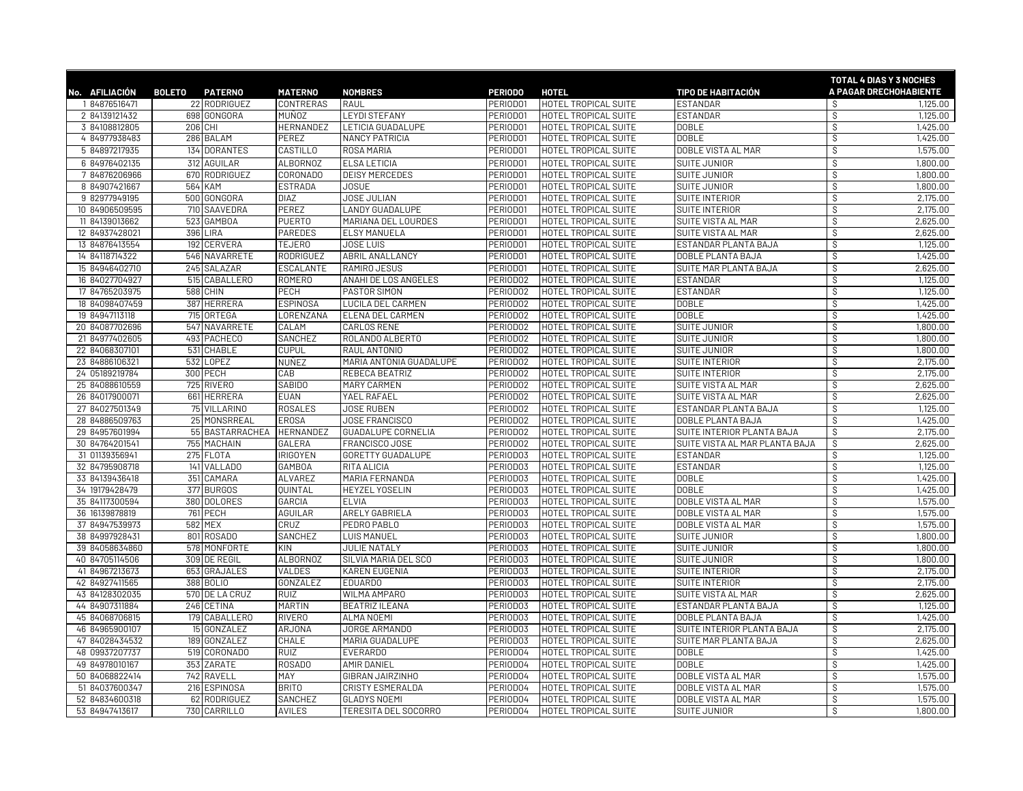|                |               |                 |                    |                           |                |                             |                                | TOTAL 4 DIAS Y 3 NOCHES  |          |
|----------------|---------------|-----------------|--------------------|---------------------------|----------------|-----------------------------|--------------------------------|--------------------------|----------|
| No. AFILIACIÓN | <b>BOLETO</b> | <b>PATERNO</b>  | <b>MATERNO</b>     | <b>NOMBRES</b>            | <b>PERIODO</b> | <b>HOTEL</b>                | <b>TIPO DE HABITACIÓN</b>      | A PAGAR DRECHOHABIENTE   |          |
| 1 84876516471  |               | 22 RODRIGUEZ    | CONTRERAS          | RAUL                      | PERIOD01       | HOTEL TROPICAL SUITE        | <b>ESTANDAR</b>                | -S                       | 1,125.00 |
| 2 84139121432  |               | 698 GONGORA     | <b>MUÑOZ</b>       | <b>LEYDI STEFANY</b>      | PERIOD01       | HOTEL TROPICAL SUITE        | ESTANDAR                       | $\mathcal{S}$            | 1,125.00 |
| 3 84108812805  |               | 206 CHI         | HERNANDEZ          | LETICIA GUADALUPE         | PERIOD01       | HOTEL TROPICAL SUITE        | <b>DOBLE</b>                   | $\overline{\mathcal{S}}$ | 1,425.00 |
| 4 84977938483  |               | 286 BALAM       | PEREZ              | <b>NANCY PATRICIA</b>     | PERIOD01       | HOTEL TROPICAL SUITE        | <b>DOBLE</b>                   | $\mathsf S$              | 1,425.00 |
| 5 84897217935  |               | 134 DORANTES    | CASTILLO           | ROSA MARIA                | PERIOD01       | HOTEL TROPICAL SUITE        | DOBLE VISTA AL MAR             | S                        | 1,575.00 |
| 6 84976402135  |               | 312 AGUILAR     | <b>ALBORNOZ</b>    | <b>ELSA LETICIA</b>       | PERIOD01       | HOTEL TROPICAL SUITE        | SUITE JUNIOR                   | Ŝ                        | 1,800.00 |
| 7 84876206966  |               | 670 RODRIGUEZ   | CORONADO           | <b>DEISY MERCEDES</b>     | PERIOD01       | HOTEL TROPICAL SUITE        | SUITE JUNIOR                   | \$                       | 1,800.00 |
| 8 84907421667  |               | 564 KAM         | <b>ESTRADA</b>     | <b>JOSUE</b>              | PERIOD01       | HOTEL TROPICAL SUITE        | SUITE JUNIOR                   | S                        | 1,800.00 |
| 9 82977949195  |               | 500 GONGORA     | <b>DIAZ</b>        | JOSE JULIAN               | PERIOD01       | HOTEL TROPICAL SUITE        | SUITE INTERIOR                 | \$                       | 2,175.00 |
| 10 84906509595 |               | 710 SAAVEDRA    | PEREZ              | <b>LANDY GUADALUPE</b>    | PERIOD01       | HOTEL TROPICAL SUITE        | SUITE INTERIOR                 | $\mathsf S$              | 2,175.00 |
| 11 84139013662 |               | 523 GAMBOA      | <b>PUERTO</b>      | MARIANA DEL LOURDES       | PERIOD01       | HOTEL TROPICAL SUITE        | SUITE VISTA AL MAR             | S.                       | 2,625.00 |
| 12 84937428021 |               | 396 LIRA        | <b>PAREDES</b>     | <b>ELSY MANUELA</b>       | PERIOD01       | HOTEL TROPICAL SUITE        | SUITE VISTA AL MAR             | \$                       | 2,625.00 |
| 13 84876413554 |               | 192 CERVERA     | <b>TEJER0</b>      | <b>JOSE LUIS</b>          | PERIOD01       | HOTEL TROPICAL SUITE        | ESTANDAR PLANTA BAJA           | \$                       | 1,125.00 |
| 14 84118714322 |               | 546 NAVARRETE   | RODRIGUEZ          | <b>ABRIL ANALLANCY</b>    | PERIOD01       | HOTEL TROPICAL SUITE        | <b>DOBLE PLANTA BAJA</b>       | Ŝ                        | 1,425.00 |
| 15 84946402710 |               | 245 SALAZAR     | ESCALANTE          | RAMIRO JESUS              | PERIOD01       | HOTEL TROPICAL SUITE        | SUITE MAR PLANTA BAJA          | S.                       | 2,625.00 |
| 16 84027704927 |               | 515 CABALLERO   | <b>ROMERO</b>      | ANAHI DE LOS ANGELES      | PERIODO2       | HOTEL TROPICAL SUITE        | <b>ESTANDAR</b>                | S                        | 1,125.00 |
| 17 84765203975 |               | 588 CHIN        | PECH               | PASTOR SIMON              | PERIODO2       | HOTEL TROPICAL SUITE        | <b>ESTANDAR</b>                | $\mathsf S$              | 1,125.00 |
| 18 84098407459 |               | 387 HERRERA     | <b>ESPINOSA</b>    | <b>LUCILA DEL CARMEN</b>  | PERIOD02       | HOTEL TROPICAL SUITE        | <b>DOBLE</b>                   | Ŝ                        | 1,425.00 |
| 19 84947113118 |               | 715 ORTEGA      | LORENZANA          | ELENA DEL CARMEN          | PERIOD02       | HOTEL TROPICAL SUITE        | <b>DOBLE</b>                   | S,                       | 1,425.00 |
| 20 84087702696 |               | 547 NAVARRETE   | CALAM              | <b>CARLOS RENE</b>        | PERIOD02       | HOTEL TROPICAL SUITE        | <b>SUITE JUNIOR</b>            | Ŝ                        | 1,800.00 |
| 21 84977402605 |               | 493 PACHECO     | SANCHEZ            | ROLANDO ALBERTO           | PERIOD02       | <b>HOTEL TROPICAL SUITE</b> | SUITE JUNIOR                   | Ŝ                        | 1,800.00 |
| 22 84068307101 |               | 531 CHABLE      | <b>CUPUL</b>       | RAUL ANTONIO              | PERIODO2       | HOTEL TROPICAL SUITE        | SUITE JUNIOR                   | s,                       | 1,800.00 |
| 23 84886106321 |               | 532 LOPEZ       | <b>NUÑEZ</b>       | MARIA ANTONIA GUADALUPE   | PERIOD02       | HOTEL TROPICAL SUITE        | SUITE INTERIOR                 | Ŝ.                       | 2,175.00 |
| 24 05189219784 |               | 300 PECH        | CAB                | REBECA BEATRIZ            | PERIOD02       | HOTEL TROPICAL SUITE        | SUITE INTERIOR                 | $\mathcal{S}$            | 2,175.00 |
| 25 84088610559 |               | 725 RIVERO      | <b>SABIDO</b>      | MARY CARMEN               | PERIODO2       | HOTEL TROPICAL SUITE        | SUITE VISTA AL MAR             | \$                       | 2,625.00 |
| 26 84017900071 |               | 661 HERRERA     | <b>EUAN</b>        | YAEL RAFAEL               | PERIOD02       | HOTEL TROPICAL SUITE        | SUITE VISTA AL MAR             | Ŝ                        | 2,625.00 |
| 27 84027501349 |               | 75 VILLARINO    | <b>ROSALES</b>     | <b>JOSE RUBEN</b>         | PERIODO2       | HOTEL TROPICAL SUITE        | ESTANDAR PLANTA BAJA           | \$                       | 1,125.00 |
| 28 84886509763 |               | 25 MONSRREAL    | <b>EROSA</b>       | <b>JOSE FRANCISCO</b>     | PERIOD02       | HOTEL TROPICAL SUITE        | <b>DOBLE PLANTA BAJA</b>       | Ŝ                        | 1,425.00 |
| 29 84957601994 |               | 55 BASTARRACHEA | HERNANDEZ          | <b>GUADALUPE CORNELIA</b> | PERIOD02       | HOTEL TROPICAL SUITE        | SUITE INTERIOR PLANTA BAJA     | \$                       | 2,175.00 |
| 30 84764201541 |               | 755 MACHAIN     | GALERA             | FRANCISCO JOSE            | PERIOD02       | HOTEL TROPICAL SUITE        | SUITE VISTA AL MAR PLANTA BAJA | S,                       | 2,625.00 |
| 31 01139356941 |               | 275 FLOTA       | <b>IRIGOYEN</b>    | <b>GORETTY GUADALUPE</b>  | PERIOD03       | HOTEL TROPICAL SUITE        | <b>ESTANDAR</b>                | s                        | 1,125,00 |
| 32 84795908718 |               | 141 VALLADO     | <b>GAMBOA</b>      | RITA ALICIA               | PERIOD03       | HOTEL TROPICAL SUITE        | ESTANDAR                       | \$                       | 1,125.00 |
| 33 84139436418 |               | 351 CAMARA      | <b>ALVAREZ</b>     | MARIA FERNANDA            | PERIOD03       | HOTEL TROPICAL SUITE        | <b>DOBLE</b>                   | S                        | 1,425.00 |
| 34 19179428479 |               | 377 BURGOS      | <b>QUINTAL</b>     | HEYZEL YOSELIN            | PERIOD03       | <b>HOTEL TROPICAL SUITE</b> | <b>DOBLE</b>                   | $\mathcal{S}$            | 1,425.00 |
| 35 84117300594 |               | 380 DOLORES     | GARCIA             | <b>ELVIA</b>              | PERIOD03       | HOTEL TROPICAL SUITE        | DOBLE VISTA AL MAR             | Ŝ                        | 1,575.00 |
| 36 16139878819 |               | 761 PECH        | <b>AGUILAR</b>     | ARELY GABRIELA            | PERIOD03       | HOTEL TROPICAL SUITE        | DOBLE VISTA AL MAR             | S,                       | 1,575.00 |
| 37 84947539973 |               | 582 MEX         | CRUZ               | PEDRO PABLO               | PERIOD03       | <b>HOTEL TROPICAL SUITE</b> | DOBLE VISTA AL MAR             | Ŝ                        | 1,575.00 |
| 38 84997928431 |               | 801 ROSADO      | SANCHEZ            | <b>LUIS MANUEL</b>        | PERIOD03       | HOTEL TROPICAL SUITE        | <b>SUITE JUNIOR</b>            | \$                       | 1,800.00 |
| 39 84058634860 |               | 578 MONFORTE    | <b>KIN</b>         | <b>JULIE NATALY</b>       | PERIOD03       | HOTEL TROPICAL SUITE        | <b>SUITE JUNIOR</b>            | s,                       | 1,800.00 |
| 40 84705114506 |               | 309 DE REGIL    | ALBORNOZ           | SILVIA MARIA DEL SCO      | PERIOD03       | HOTEL TROPICAL SUITE        | <b>SUITE JUNIOR</b>            | \$                       | 1,800.00 |
| 41 84967213673 |               | 653 GRAJALES    | VALDES             | <b>KAREN EUGENIA</b>      | PERIOD03       | HOTEL TROPICAL SUITE        | SUITE INTERIOR                 | Ŝ                        | 2,175.00 |
| 42 84927411565 |               | 388 BOLIO       | GONZALEZ           | EDUARDO                   | PERIOD03       | HOTEL TROPICAL SUITE        | <b>SUITE INTERIOR</b>          | S                        | 2,175.00 |
| 43 84128302035 |               | 570 DE LA CRUZ  | <b>RUIZ</b>        | WILMA AMPARO              | PERIOD03       | HOTEL TROPICAL SUITE        | <b>SUITE VISTA AL MAR</b>      | Ŝ                        | 2,625.00 |
| 44 84907311884 |               | 246 CETINA      | <b>MARTIN</b>      | <b>BEATRIZ ILEANA</b>     | PERIOD03       | HOTEL TROPICAL SUITE        | ESTANDAR PLANTA BAJA           | Ŝ                        | 1,125,00 |
| 45 84068706815 |               | 179 CABALLERO   | RIVER <sub>0</sub> | <b>ALMA NOEMI</b>         | PERIOD03       | HOTEL TROPICAL SUITE        | DOBLE PLANTA BAJA              | s,                       | 1,425.00 |
| 46 84965900107 |               | 15 GONZALEZ     | <b>ARJONA</b>      | JORGE ARMANDO             | PERIOD03       | HOTEL TROPICAL SUITE        | SUITE INTERIOR PLANTA BAJA     | \$                       | 2,175.00 |
| 47 84028434532 |               | 189 GONZALEZ    | CHALE              | MARIA GUADALUPE           | PERIOD03       | HOTEL TROPICAL SUITE        | SUITE MAR PLANTA BAJA          | $\mathcal{S}$            | 2,625.00 |
| 48 09937207737 |               | 519 CORONADO    | <b>RUIZ</b>        | EVERARDO                  | PERIOD04       | HOTEL TROPICAL SUITE        | <b>DOBLE</b>                   | S                        | 1,425.00 |
| 49 84978010167 |               | 353 ZARATE      | ROSADO             | <b>AMIR DANIEL</b>        | PERIOD04       | HOTEL TROPICAL SUITE        | <b>DOBLE</b>                   | Ŝ                        | 1,425.00 |
| 50 84068822414 |               | 742 RAVELL      | MAY                | GIBRAN JAIRZINHO          | PERIOD04       | <b>HOTEL TROPICAL SUITE</b> | DOBLE VISTA AL MAR             | $\mathcal{S}$            | 1,575.00 |
| 51 84037600347 |               | 216 ESPINOSA    | <b>BRITO</b>       | <b>CRISTY ESMERALDA</b>   | PERIOD04       | HOTEL TROPICAL SUITE        | DOBLE VISTA AL MAR             | \$                       | 1,575.00 |
| 52 84834600318 |               | 62 RODRIGUEZ    | <b>SANCHEZ</b>     | <b>GLADYS NOEMI</b>       | PERIOD04       | HOTEL TROPICAL SUITE        | DOBLE VISTA AL MAR             | Ŝ                        | 1,575.00 |
| 53 84947413617 |               | 730 CARRILLO    | <b>AVILES</b>      | TERESITA DEL SOCORRO      | PERIOD04       | HOTEL TROPICAL SUITE        | SUITE JUNIOR                   | \$                       | 1,800.00 |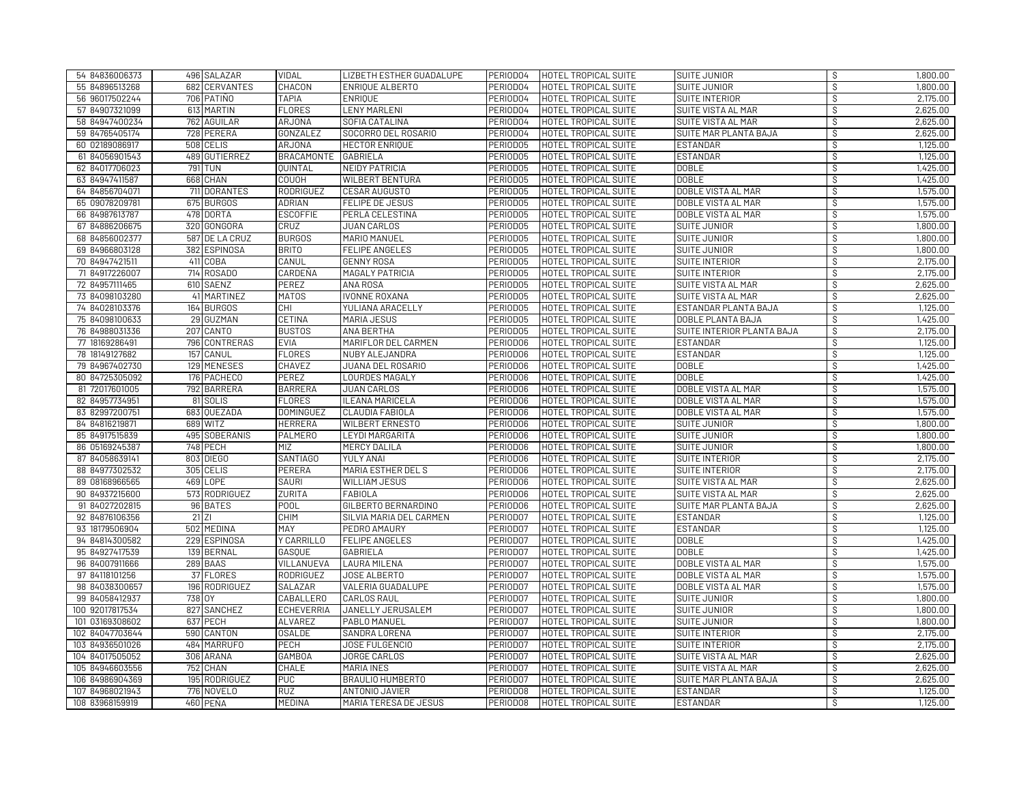| 54 84836006373  | 496 SALAZAR    | <b>VIDAL</b>      | LIZBETH ESTHER GUADALUPE     | PERIOD04 | HOTEL TROPICAL SUITE | SUITE JUNIOR                 | \$            | 1,800.00 |
|-----------------|----------------|-------------------|------------------------------|----------|----------------------|------------------------------|---------------|----------|
| 55 84896513268  | 682 CERVANTES  | CHACON            | ENRIQUE ALBERTO              | PERIOD04 | HOTEL TROPICAL SUITE | SUITE JUNIOR                 | $\mathcal{S}$ | 1,800.00 |
| 56 96017502244  | 706 PATIÑO     | <b>TAPIA</b>      | <b>ENRIOUE</b>               | PERIODO4 | HOTEL TROPICAL SUITE | SUITE INTERIOR               | Ŝ             | 2,175.00 |
| 57 84907321099  | 613 MARTIN     | <b>FLORES</b>     | <b>LENY MARLENI</b>          | PERIOD04 | HOTEL TROPICAL SUITE | SUITE VISTA AL MAR           | \$            | 2,625.00 |
| 58 84947400234  | 762 AGUILAR    | <b>ARJONA</b>     | SOFIA CATALINA               | PERIOD04 | HOTEL TROPICAL SUITE | SUITE VISTA AL MAR           | Ŝ             | 2,625.00 |
| 59 84765405174  | 728 PERERA     | GONZALEZ          | SOCORRO DEL ROSARIO          | PERIODO4 | HOTEL TROPICAL SUITE | <b>SUITE MAR PLANTA BAJA</b> | Ŝ             | 2,625.00 |
| 60 02189086917  | 508 CELIS      | ARJONA            | <b>HECTOR ENRIQUE</b>        | PERIODO5 | HOTEL TROPICAL SUITE | <b>ESTANDAR</b>              | \$            | 1,125.00 |
| 61 84056901543  | 489 GUTIERREZ  | <b>BRACAMONTE</b> | <b>GABRIELA</b>              | PERIOD05 | HOTEL TROPICAL SUITE | <b>ESTANDAR</b>              | Ş             | 1,125.00 |
| 62 84017706023  | 791 TUN        | <b>QUINTAL</b>    | <b>NEIDY PATRICIA</b>        | PERIOD05 | HOTEL TROPICAL SUITE | <b>DOBLE</b>                 | $\mathcal{S}$ | 1,425.00 |
| 63 84947411587  | 668 CHAN       | <b>COUOH</b>      | <b>WILBERT BENTURA</b>       | PERIODO5 | HOTEL TROPICAL SUITE | <b>DOBLE</b>                 | $\mathcal{S}$ | 1,425.00 |
| 64 84856704071  | 711 DORANTES   | RODRIGUEZ         | CESAR AUGUSTO                | PERIOD05 | HOTEL TROPICAL SUITE | DOBLE VISTA AL MAR           | \$            | 1,575.00 |
| 65 09078209781  | 675 BURGOS     | <b>ADRIAN</b>     | FELIPE DE JESUS              | PERIODO5 | HOTEL TROPICAL SUITE | DOBLE VISTA AL MAR           | Ŝ             | 1,575.00 |
| 66 84987613787  | 478 DORTA      | <b>ESCOFFIE</b>   | PERLA CELESTINA              | PERIODO5 | HOTEL TROPICAL SUITE | DOBLE VISTA AL MAR           | \$            | 1,575.00 |
| 67 84886206675  | 320 GONGORA    | CRUZ              | <b>JUAN CARLOS</b>           | PERIODO5 | HOTEL TROPICAL SUITE | <b>SUITE JUNIOR</b>          | $\mathcal{S}$ | 1,800.00 |
| 68 84856002377  | 587 DE LA CRUZ | <b>BURGOS</b>     | MARIO MANUEL                 | PERIOD05 | HOTEL TROPICAL SUITE | SUITE JUNIOR                 | \$            | 1,800.00 |
| 69 84966803128  | 382 ESPINOSA   | <b>BRITO</b>      | <b>FELIPE ANGELES</b>        | PERIODO5 | HOTEL TROPICAL SUITE | SUITE JUNIOR                 | \$            | 1,800.00 |
| 70 84947421511  | 411 COBA       | CANUL             | <b>GENNY ROSA</b>            | PERIODO5 | HOTEL TROPICAL SUITE | SUITE INTERIOR               | $\mathcal{S}$ | 2,175.00 |
| 71 84917226007  | 714<br>ROSADO  | CARDEÑA           | MAGALY PATRICIA              | PERIOD05 | HOTEL TROPICAL SUITE | SUITE INTERIOR               | Ŝ             | 2,175.00 |
| 72 84957111465  | 610 SAENZ      | PEREZ             | ANA ROSA                     | PERIODO5 | HOTEL TROPICAL SUITE | SUITE VISTA AL MAR           | S,            | 2,625.00 |
| 73 84098103280  | 41 MARTINEZ    | <b>MATOS</b>      | <b>IVONNE ROXANA</b>         | PERIODO5 | HOTEL TROPICAL SUITE | SUITE VISTA AL MAR           | $\mathcal{S}$ | 2,625.00 |
| 74 84028103376  | 164 BURGOS     | <b>CHI</b>        | YULIANA ARACELLY             | PERIODO5 | HOTEL TROPICAL SUITE | ESTANDAR PLANTA BAJA         | $\mathcal{S}$ | 1,125.00 |
| 75 84098100633  | 29 GUZMAN      | CETINA            | MARIA JESUS                  | PERIOD05 | HOTEL TROPICAL SUITE | DOBLE PLANTA BAJA            | \$            | 1,425.00 |
| 76 84988031336  | 207 CANTO      | <b>BUSTOS</b>     | ANA BERTHA                   | PERIODO5 | HOTEL TROPICAL SUITE | SUITE INTERIOR PLANTA BAJA   | \$            | 2,175.00 |
| 77 18169286491  | 796 CONTRERAS  | <b>EVIA</b>       | MARIFLOR DEL CARMEN          | PERIODO6 | HOTEL TROPICAL SUITE | <b>ESTANDAR</b>              | \$            | 1,125.00 |
| 78 18149127682  | 157 CANUL      | <b>FLORES</b>     | NUBY ALEJANDRA               | PERIODO6 | HOTEL TROPICAL SUITE | <b>ESTANDAR</b>              | Ŝ             | 1,125.00 |
| 79 84967402730  | 129 MENESES    | CHAVEZ            | JUANA DEL ROSARIO            | PERIODO6 | HOTEL TROPICAL SUITE | <b>DOBLE</b>                 | Ŝ             | 1,425.00 |
| 80 84725305092  | 176 PACHECO    | <b>PEREZ</b>      | <b>LOURDES MAGALY</b>        | PERIODO6 | HOTEL TROPICAL SUITE | <b>DOBLE</b>                 | \$            | 1,425.00 |
| 81 72017601005  | 792 BARRERA    | <b>BARRERA</b>    | <b>JUAN CARLOS</b>           | PERIODO6 | HOTEL TROPICAL SUITE | DOBLE VISTA AL MAR           | $\mathcal{S}$ | 1,575.00 |
| 82 84957734951  | 81 SOLIS       | <b>FLORES</b>     | ILEANA MARICELA              | PERIODO6 | HOTEL TROPICAL SUITE | DOBLE VISTA AL MAR           | Ŝ             | 1,575.00 |
| 83 82997200751  | 683 QUEZADA    | <b>DOMINGUEZ</b>  | CLAUDIA FABIOLA              | PERIODO6 | HOTEL TROPICAL SUITE | DOBLE VISTA AL MAR           | \$            | 1,575.00 |
| 84 84816219871  | 689 WITZ       | <b>HERRERA</b>    | <b>WILBERT ERNESTO</b>       | PERIODO6 | HOTEL TROPICAL SUITE | <b>SUITE JUNIOR</b>          | $\mathcal{S}$ | 1,800.00 |
| 85 84917515839  | 495 SOBERANIS  | <b>PALMERO</b>    | LEYDI MARGARITA              | PERIODO6 | HOTEL TROPICAL SUITE | SUITE JUNIOR                 | $\mathcal{S}$ | 1,800.00 |
| 86 05169245387  | 748 PECH       | <b>MIZ</b>        | <b>MERCY DALILA</b>          | PERIODO6 | HOTEL TROPICAL SUITE | <b>SUITE JUNIOR</b>          | ऽ             | 1,800.00 |
| 87 84058639141  | 803 DIEGO      | <b>SANTIAGO</b>   | YULY ANAI                    | PERIODO6 | HOTEL TROPICAL SUITE | SUITE INTERIOR               | Ŝ             | 2,175.00 |
| 88 84977302532  | 305 CELIS      | PERERA            | MARIA ESTHER DEL S           | PERIODO6 | HOTEL TROPICAL SUITE | <b>SUITE INTERIOR</b>        | $\mathcal{S}$ | 2,175.00 |
| 89 08168966565  | 469 LOPE       | <b>SAURI</b>      | <b>WILLIAM JESUS</b>         | PERIODO6 | HOTEL TROPICAL SUITE | SUITE VISTA AL MAR           | Ŝ             | 2,625.00 |
| 90 84937215600  | 573 RODRIGUEZ  | <b>ZURITA</b>     | <b>FABIOLA</b>               | PERIODO6 | HOTEL TROPICAL SUITE | SUITE VISTA AL MAR           | Ŝ             | 2,625.00 |
| 91 84027202815  | 96 BATES       | POOL              | GILBERTO BERNARDINO          | PERIODO6 | HOTEL TROPICAL SUITE | SUITE MAR PLANTA BAJA        | \$            | 2,625.00 |
| 92 84876106356  | $21$ ZI        | <b>CHIM</b>       | SILVIA MARIA DEL CARMEN      | PERIOD07 | HOTEL TROPICAL SUITE | <b>ESTANDAR</b>              | $\mathcal{S}$ | 1,125.00 |
| 93 18179506904  | 502 MEDINA     | <b>MAY</b>        | PEDRO AMAURY                 | PERIOD07 | HOTEL TROPICAL SUITE | <b>ESTANDAR</b>              | Ŝ             | 1,125.00 |
| 94 84814300582  | 229 ESPINOSA   | Y CARRILLO        | <b>FELIPE ANGELES</b>        | PERIOD07 | HOTEL TROPICAL SUITE | <b>DOBLE</b>                 | \$            | 1,425.00 |
| 95 84927417539  | 139 BERNAL     | <b>GASOUE</b>     | <b>GABRIELA</b>              | PERIOD07 | HOTEL TROPICAL SUITE | <b>DOBLE</b>                 | Ŝ             | 1,425.00 |
| 96 84007911666  | 289 BAAS       | VILLANUEVA        | LAURA MILENA                 | PERIOD07 | HOTEL TROPICAL SUITE | DOBLE VISTA AL MAR           | \$            | 1,575.00 |
| 97 84118101256  | 37 FLORES      | <b>RODRIGUEZ</b>  | JOSE ALBERTO                 | PERIOD07 | HOTEL TROPICAL SUITE | DOBLE VISTA AL MAR           | Ŝ             | 1,575.00 |
| 98 84038300657  | 196 RODRIGUEZ  | SALAZAR           | VALERIA GUADALUPE            | PERIOD07 | HOTEL TROPICAL SUITE | DOBLE VISTA AL MAR           | \$            | 1,575.00 |
| 99 84058412937  | 738 OY         | <b>CABALLERO</b>  | <b>CARLOS RAUL</b>           | PERIOD07 | HOTEL TROPICAL SUITE | <b>SUITE JUNIOR</b>          | \$            | 1,800.00 |
| 100 92017817534 | 827 SANCHEZ    | <b>ECHEVERRIA</b> | JANELLY JERUSALEM            | PERIOD07 | HOTEL TROPICAL SUITE | <b>SUITE JUNIOR</b>          | Ŝ             | 1,800.00 |
| 101 03169308602 | 637 PECH       | <b>ALVAREZ</b>    | PABLO MANUEL                 | PERIOD07 | HOTEL TROPICAL SUITE | <b>SUITE JUNIOR</b>          | $\mathcal{S}$ | 1,800.00 |
| 102 84047703644 | 590 CANTON     | <b>OSALDE</b>     | SANDRA LORENA                | PERIOD07 | HOTEL TROPICAL SUITE | <b>SUITE INTERIOR</b>        | Ŝ             | 2,175.00 |
| 103 84936501026 | 484 MARRUFO    | PECH              | JOSE FULGENCIO               | PERIOD07 | HOTEL TROPICAL SUITE | SUITE INTERIOR               | \$            | 2,175.00 |
| 104 84017505052 | 306 ARANA      | <b>GAMBOA</b>     | <b>JORGE CARLOS</b>          | PERIOD07 | HOTEL TROPICAL SUITE | SUITE VISTA AL MAR           | Ŝ             | 2,625.00 |
| 105 84946603556 | 752 CHAN       | CHALE             | MARIA INES                   | PERIOD07 | HOTEL TROPICAL SUITE | <b>SUITE VISTA AL MAR</b>    | $\mathcal{S}$ | 2,625.00 |
| 106 84986904369 | 195 RODRIGUEZ  | <b>PUC</b>        | BRAULIO HUMBERTO             | PERIOD07 | HOTEL TROPICAL SUITE | SUITE MAR PLANTA BAJA        | \$            | 2,625.00 |
| 107 84968021943 | 776 NOVELO     | <b>RUZ</b>        | ANTONIO JAVIER               | PERIODO8 | HOTEL TROPICAL SUITE | <b>ESTANDAR</b>              | Ŝ.            | 1,125,00 |
| 108 83968159919 | 460 PEÑA       | <b>MEDINA</b>     | <b>MARIA TERESA DE JESUS</b> | PERIODO8 | HOTEL TROPICAL SUITE | <b>ESTANDAR</b>              | $\mathcal{S}$ | 1,125.00 |
|                 |                |                   |                              |          |                      |                              |               |          |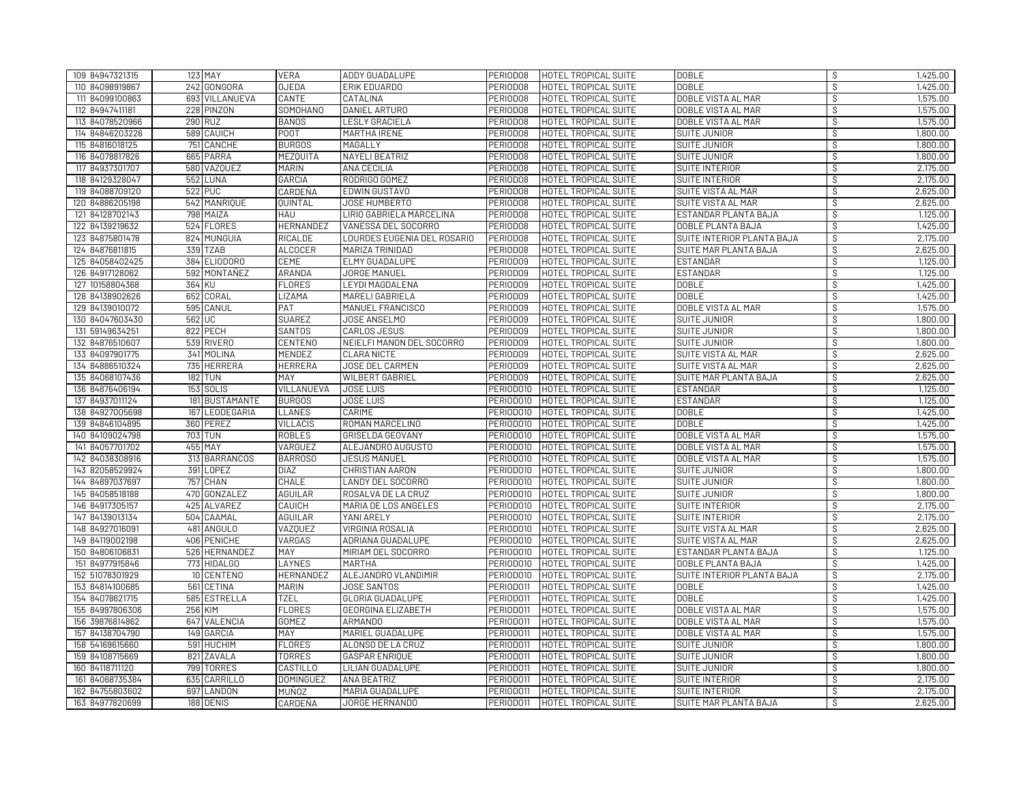| 109 84947321315 | 123 MAY         | <b>VERA</b>                        | ADDY GUADALUPE              | PERIODO8  | <b>HOTEL TROPICAL SUITE</b> | <b>DOBLE</b>               | S             | 1,425.00 |
|-----------------|-----------------|------------------------------------|-----------------------------|-----------|-----------------------------|----------------------------|---------------|----------|
| 110 84098919867 | 242 GONGORA     | <b>OJEDA</b>                       | ERIK EDUARDO                | PERIODO8  | HOTEL TROPICAL SUITE        | <b>DOBLE</b>               | S,            | 1,425.00 |
| 111 84099100863 | 693 VILLANUEVA  | CANTE                              | CATALINA                    | PERIODO8  | HOTEL TROPICAL SUITE        | DOBLE VISTA AL MAR         | \$            | 1,575.00 |
| 112 84947411181 | 228 PINZON      | SOMOHANO                           | DANIEL ARTURO               | PERIOD08  | HOTEL TROPICAL SUITE        | DOBLE VISTA AL MAR         | \$            | 1,575.00 |
| 113 84078520966 | 290 RUZ         | BAÑOS                              | <b>LESLY GRACIELA</b>       | PERIOD08  | HOTEL TROPICAL SUITE        | DOBLE VISTA AL MAR         | Ŝ             | 1,575.00 |
| 114 84846203226 | 589 CAUICH      | P00T                               | MARTHA IRENE                | PERIOD08  | HOTEL TROPICAL SUITE        | <b>SUITE JUNIOR</b>        | Ŝ             | 1,800.00 |
| 115 84816018125 | 751 CANCHE      | <b>BURGOS</b>                      | MAGALLY                     | PERIOD08  | HOTEL TROPICAL SUITE        | SUITE JUNIOR               | S,            | 1,800.00 |
| 116 84078817826 | 665 PARRA       | <b>MEZQUITA</b>                    | NAYELI BEATRIZ              | PERIOD08  | HOTEL TROPICAL SUITE        | SUITE JUNIOR               | Ş             | 1,800.00 |
| 117 84937301707 | 580 VAZQUEZ     | <b>MARIN</b>                       | ANA CECILIA                 | PERIODO8  | HOTEL TROPICAL SUITE        | SUITE INTERIOR             | Ŝ             | 2,175.00 |
| 118 84129328047 | <b>552 LUNA</b> | GARCIA                             | RODRIGO GOMEZ               | PERIOD08  | HOTEL TROPICAL SUITE        | SUITE INTERIOR             | $\mathcal{S}$ | 2,175.00 |
| 119 84088709120 | 522 PUC         | CARDEÑA                            | EDWIN GUSTAVO               | PERIOD08  | HOTEL TROPICAL SUITE        | SUITE VISTA AL MAR         | \$            | 2,625.00 |
| 120 84886205198 | 542 MANRIQUE    | <b>OUINTAL</b>                     | JOSE HUMBERTO               | PERIOD08  | HOTEL TROPICAL SUITE        | SUITE VISTA AL MAR         | $\mathcal{S}$ | 2,625.00 |
| 121 84128702143 | 798 MAIZA       | <b>HAU</b>                         | LIRIO GABRIELA MARCELINA    | PERIOD08  | HOTEL TROPICAL SUITE        | ESTANDAR PLANTA BAJA       | $\mathcal{S}$ | 1,125.00 |
| 122 84139219632 | 524 FLORES      | <b>HERNANDEZ</b>                   | VANESSA DEL SOCORRO         | PERIOD08  | HOTEL TROPICAL SUITE        | DOBLE PLANTA BAJA          | Ŝ             | 1,425.00 |
| 123 84875801478 | 824 MUNGUIA     | RICALDE                            | LOURDES EUGENIA DEL ROSARIO | PERIOD08  | HOTEL TROPICAL SUITE        | SUITE INTERIOR PLANTA BAJA | \$            | 2,175.00 |
| 124 84876811815 | 339 TZAB        | <b>ALCOCER</b>                     | MARIZA TRINIDAD             | PERIOD08  | HOTEL TROPICAL SUITE        | SUITE MAR PLANTA BAJA      | Ŝ             | 2,625.00 |
| 125 84058402425 | 384 ELIODORO    | <b>CEME</b>                        | ELMY GUADALUPE              | PERIODO9  | HOTEL TROPICAL SUITE        | <b>ESTANDAR</b>            | $\mathcal{S}$ | 1,125.00 |
| 126 84917128062 | 592 MONTAÑEZ    | ARANDA                             | <b>JORGE MANUEL</b>         | PERIODO9  | HOTEL TROPICAL SUITE        | <b>ESTANDAR</b>            | \$            | 1,125.00 |
| 127 10158804368 | 364 KU          | <b>FLORES</b>                      | LEYDI MAGDALENA             | PERIOD09  | HOTEL TROPICAL SUITE        | <b>DOBLE</b>               | Ş             | 1,425.00 |
| 128 84138902626 | 652 CORAL       | LIZAMA                             | MARELI GABRIELA             | PERIOD09  | HOTEL TROPICAL SUITE        | <b>DOBLE</b>               | $\mathcal{S}$ | 1,425.00 |
| 129 84139010072 | 595 CANUL       | PAT                                | MANUEL FRANCISCO            | PERIODO9  | HOTEL TROPICAL SUITE        | DOBLE VISTA AL MAR         | Ŝ             | 1,575.00 |
| 130 84047603430 | 562 UC          | <b>SUAREZ</b>                      | <b>JOSE ANSELMO</b>         | PERIOD09  | HOTEL TROPICAL SUITE        | <b>SUITE JUNIOR</b>        | \$            | 1,800.00 |
| 131 59149634251 | 822 PECH        | <b>SANTOS</b>                      | CARLOS JESUS                | PERIODO9  | HOTEL TROPICAL SUITE        | SUITE JUNIOR               | Ŝ             | 1,800.00 |
| 132 84876510607 | 539 RIVERO      | <b>CENTENO</b>                     | NEIELFI MANON DEL SOCORRO   | PERIODO9  | HOTEL TROPICAL SUITE        | <b>SUITE JUNIOR</b>        | \$            | 1,800.00 |
| 133 84097901775 | 341 MOLINA      | MENDEZ                             | CLARA NICTE                 | PERIODO9  | HOTEL TROPICAL SUITE        | SUITE VISTA AL MAR         | $\mathcal{S}$ | 2,625.00 |
| 134 84886510324 | 735 HERRERA     | <b>HERRERA</b>                     | JOSE DEL CARMEN             | PERIODO9  | HOTEL TROPICAL SUITE        | SUITE VISTA AL MAR         | S.            | 2,625.00 |
| 135 84068107436 | <b>182 TUN</b>  | MAY                                | <b>WILBERT GABRIEL</b>      | PERIODO9  | HOTEL TROPICAL SUITE        | SUITE MAR PLANTA BAJA      | \$            | 2,625.00 |
| 136 84876406194 | 153 SOLIS       | VILLANUEVA                         | <b>JOSE LUIS</b>            | PERIODO10 | HOTEL TROPICAL SUITE        | <b>ESTANDAR</b>            | Ŝ             | 1,125.00 |
| 137 84937011124 | 181             | <b>BUSTAMANTE</b><br><b>BURGOS</b> | <b>JOSE LUIS</b>            | PERIOD010 | HOTEL TROPICAL SUITE        | <b>ESTANDAR</b>            | Ŝ             | 1,125.00 |
| 138 84927005698 | 167 LEODEGARIA  | LLANES                             | CARIME                      | PERIODO10 | HOTEL TROPICAL SUITE        | <b>DOBLE</b>               | S,            | 1,425.00 |
| 139 84846104895 | 360 PEREZ       | <b>VILLACIS</b>                    | ROMAN MARCELINO             | PERIODO10 | HOTEL TROPICAL SUITE        | <b>DOBLE</b>               | $\mathcal{S}$ | 1,425.00 |
| 140 84109024798 | 703 TUN         | <b>ROBLES</b>                      | GRISELDA GEOVANY            | PERIOD010 | HOTEL TROPICAL SUITE        | DOBLE VISTA AL MAR         | $\mathcal{S}$ | 1,575.00 |
| 141 84057701702 | 455 MAY         | VARGUEZ                            | ALEJANDRO AUGUSTO           | PERIODO10 | <b>HOTEL TROPICAL SUITE</b> | DOBLE VISTA AL MAR         | \$            | 1,575.00 |
| 142 84038308916 | 313 BARRANCOS   | <b>BARROSO</b>                     | <b>JESUS MANUEL</b>         | PERIODO10 | HOTEL TROPICAL SUITE        | DOBLE VISTA AL MAR         | \$            | 1,575.00 |
| 143 82058529924 | 391 LOPEZ       | <b>DIAZ</b>                        | <b>CHRISTIAN AARON</b>      | PERIODO10 | HOTEL TROPICAL SUITE        | <b>SUITE JUNIOR</b>        | \$            | 1,800.00 |
| 144 84897037697 | 757 CHAN        | CHALE                              | <b>LANDY DEL SOCORRO</b>    | PERIOD010 | HOTEL TROPICAL SUITE        | <b>SUITE JUNIOR</b>        | Ŝ             | 1,800.00 |
| 145 84058518188 | 470 GONZALEZ    | AGUILAR                            | ROSALVA DE LA CRUZ          | PERIODO10 | HOTEL TROPICAL SUITE        | <b>SUITE JUNIOR</b>        | Ŝ             | 1,800.00 |
| 146 84917305157 | 425 ALVAREZ     | CAUICH                             | MARIA DE LOS ANGELES        | PERIODO10 | HOTEL TROPICAL SUITE        | SUITE INTERIOR             | \$            | 2,175.00 |
| 147 84139013134 | 504 CAAMAL      | <b>AGUILAR</b>                     | YANI ARELY                  | PERIOD010 | HOTEL TROPICAL SUITE        | SUITE INTERIOR             | Ŝ             | 2,175.00 |
| 148 84927016091 | 481 ANGULO      | <b>VAZQUEZ</b>                     | VIRGINIA ROSALIA            | PERIODO10 | HOTEL TROPICAL SUITE        | SUITE VISTA AL MAR         | S,            | 2,625.00 |
| 149 84119002198 | 406 PENICHE     | VARGAS                             | ADRIANA GUADALUPE           | PERIODO10 | HOTEL TROPICAL SUITE        | SUITE VISTA AL MAR         | \$            | 2,625.00 |
| 150 84806106831 | 526 HERNANDEZ   | MAY                                | MIRIAM DEL SOCORRO          | PERIODO10 | HOTEL TROPICAL SUITE        | ESTANDAR PLANTA BAJA       | $\mathcal{S}$ | 1,125.00 |
| 151 84977915846 | 773 HIDALGO     | LAYNES                             | <b>MARTHA</b>               | PERIODO10 | HOTEL TROPICAL SUITE        | DOBLE PLANTA BAJA          | \$            | 1,425.00 |
| 152 51078301929 | 10 CENTENO      | <b>HERNANDEZ</b>                   | ALEJANDRO VLANDIMIR         | PERIOD010 | HOTEL TROPICAL SUITE        | SUITE INTERIOR PLANTA BAJA | Ŝ             | 2,175.00 |
| 153 84814100685 | 561 CETINA      | <b>MARIN</b>                       | JOSE SANTOS                 | PERIOD011 | HOTEL TROPICAL SUITE        | <b>DOBLE</b>               | \$            | 1,425.00 |
| 154 84078621715 | 585 ESTRELLA    | <b>TZEL</b>                        | GLORIA GUADALUPE            | PERIODO11 | HOTEL TROPICAL SUITE        | <b>DOBLE</b>               | $\mathcal{S}$ | 1,425.00 |
| 155 84997806306 | 256 KIM         | <b>FLORES</b>                      | GEORGINA ELIZABETH          | PERIOD011 | HOTEL TROPICAL SUITE        | DOBLE VISTA AL MAR         | Ŝ             | 1,575.00 |
| 156 39876814862 | 647 VALENCIA    | <b>GOMEZ</b>                       | <b>ARMANDO</b>              | PERIODO11 | HOTEL TROPICAL SUITE        | DOBLE VISTA AL MAR         | Ŝ             | 1,575.00 |
| 157 84138704790 | 149 GARCIA      | MAY                                | MARIEL GUADALUPE            | PERIOD011 | HOTEL TROPICAL SUITE        | DOBLE VISTA AL MAR         | \$            | 1,575.00 |
| 158 54169615660 | 591 HUCHIM      | <b>FLORES</b>                      | ALONSO DE LA CRUZ           | PERIOD011 | HOTEL TROPICAL SUITE        | <b>SUITE JUNIOR</b>        | $\mathcal{S}$ | 1,800.00 |
| 159 84108715669 | 821 ZAVALA      | <b>TORRES</b>                      | <b>GASPAR ENRIQUE</b>       | PERIOD011 | HOTEL TROPICAL SUITE        | SUITE JUNIOR               | Ŝ             | 1,800.00 |
| 160 84118711120 | 799 TORRES      | <b>CASTILLO</b>                    | LILIAN GUADALUPE            | PERIOD011 | HOTEL TROPICAL SUITE        | SUITE JUNIOR               | \$            | 1,800.00 |
| 161 84068735384 | 635 CARRILLO    | <b>DOMINGUEZ</b>                   | ANA BEATRIZ                 | PERIOD011 | HOTEL TROPICAL SUITE        | <b>SUITE INTERIOR</b>      | Ŝ             | 2,175.00 |
| 162 84755803602 | 697 LANDON      | MUÑ0Z                              | MARIA GUADALUPE             | PERIOD011 | HOTEL TROPICAL SUITE        | SUITE INTERIOR             | \$            | 2,175.00 |
| 163 84977820699 | 188 DENIS       | CARDEÑA                            | JORGE HERNANDO              | PERIODO11 | HOTEL TROPICAL SUITE        | SUITE MAR PLANTA BAJA      | S,            | 2,625.00 |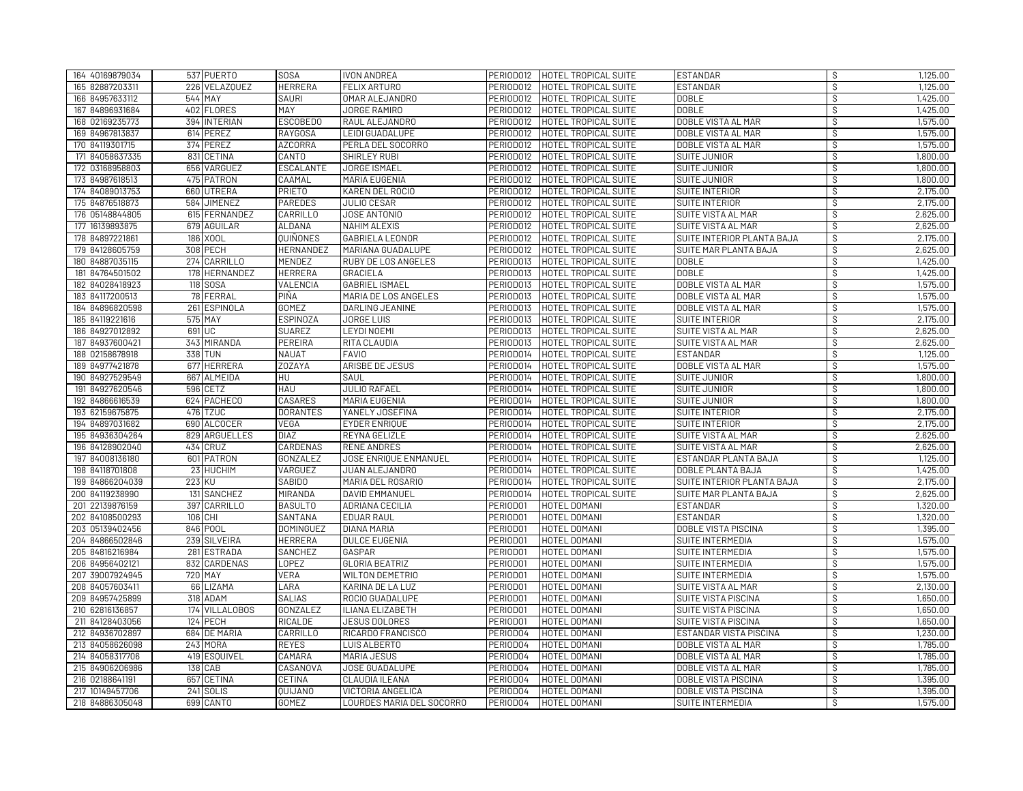| 164 40169879034 |     | 537 PUERTO     | <b>SOSA</b>      | <b>IVON ANDREA</b>           | PERIOD012 | HOTEL TROPICAL SUITE | <b>ESTANDAR</b>            | S,                       | 1,125.00 |
|-----------------|-----|----------------|------------------|------------------------------|-----------|----------------------|----------------------------|--------------------------|----------|
| 165 82887203311 |     | 226 VELAZQUEZ  | <b>HERRERA</b>   | <b>FELIX ARTURO</b>          | PERIOD012 | HOTEL TROPICAL SUITE | <b>ESTANDAR</b>            | $\mathcal{S}$            | 1,125.00 |
| 166 84957633112 |     | 544 MAY        | <b>SAURI</b>     | OMAR ALEJANDRO               | PERIODO12 | HOTEL TROPICAL SUITE | <b>DOBLE</b>               | S                        | 1,425.00 |
| 167 84896931684 |     | 402 FLORES     | MAY              | <b>JORGE RAMIRO</b>          | PERIOD012 | HOTEL TROPICAL SUITE | <b>DOBLE</b>               | S.                       | 1,425.00 |
| 168 02169235773 |     | 394 INTERIAN   | <b>ESCOBEDO</b>  | RAUL ALEJANDRO               | PERIOD012 | HOTEL TROPICAL SUITE | DOBLE VISTA AL MAR         | े                        | 1,575.00 |
| 169 84967813837 |     | 614 PEREZ      | <b>RAYGOSA</b>   | LEIDI GUADALUPE              | PERIOD012 | HOTEL TROPICAL SUITE | DOBLE VISTA AL MAR         | $\overline{\mathcal{S}}$ | 1,575.00 |
| 170 84119301715 |     | 374 PEREZ      | <b>AZCORRA</b>   | PERLA DEL SOCORRO            | PERIOD012 | HOTEL TROPICAL SUITE | DOBLE VISTA AL MAR         | S                        | 1,575.00 |
| 171 84058637335 |     | 831 CETINA     | CANTO            | SHIRLEY RUBI                 | PERIOD012 | HOTEL TROPICAL SUITE | SUITE JUNIOR               | s,                       | 1,800.00 |
| 172 03168958803 |     | 656 VARGUEZ    | <b>ESCALANTE</b> | <b>JORGE ISMAEL</b>          | PERIOD012 | HOTEL TROPICAL SUITE | <b>SUITE JUNIOR</b>        | S                        | 1,800.00 |
| 173 84987618513 |     | 475 PATRON     | CAAMAL           | MARIA EUGENIA                | PERIOD012 | HOTEL TROPICAL SUITE | <b>SUITE JUNIOR</b>        | $\mathcal{S}$            | 1,800.00 |
| 174 84089013753 |     | 660 UTRERA     | <b>PRIETO</b>    | KAREN DEL ROCIO              | PERIOD012 | HOTEL TROPICAL SUITE | SUITE INTERIOR             | $\mathcal{S}$            | 2,175.00 |
| 175 84876518873 | 584 | <b>JIMENEZ</b> | <b>PAREDES</b>   | <b>JULIO CESAR</b>           | PERIOD012 | HOTEL TROPICAL SUITE | <b>SUITE INTERIOR</b>      | S                        | 2,175,00 |
| 176 05148844805 |     | 615 FERNANDEZ  | CARRILLO         | <b>JOSE ANTONIO</b>          | PERIOD012 | HOTEL TROPICAL SUITE | SUITE VISTA AL MAR         | $\mathcal{S}$            | 2,625.00 |
| 177 16139893875 |     | 679 AGUILAR    | ALDANA           | <b>NAHIM ALEXIS</b>          | PERIOD012 | HOTEL TROPICAL SUITE | SUITE VISTA AL MAR         | ऽ                        | 2,625.00 |
| 178 84897221861 |     | 186 XOOL       | QUIÑONES         | GABRIELA LEONOR              | PERIOD012 | HOTEL TROPICAL SUITE | SUITE INTERIOR PLANTA BAJA | S.                       | 2,175.00 |
| 179 84128605759 |     | 308 PECH       | HERNANDEZ        | MARIANA GUADALUPE            | PERIOD012 | HOTEL TROPICAL SUITE | SUITE MAR PLANTA BAJA      | $\mathcal{S}$            | 2,625.00 |
| 180 84887035115 |     | 274 CARRILLO   | MENDEZ           | <b>RUBY DE LOS ANGELES</b>   | PERIOD013 | HOTEL TROPICAL SUITE | <b>DOBLE</b>               | े                        | 1,425.00 |
| 181 84764501502 |     | 178 HERNANDEZ  | HERRERA          | GRACIELA                     | PERIOD013 | HOTEL TROPICAL SUITE | <b>DOBLE</b>               | \$                       | 1,425.00 |
| 182 84028418923 |     | 118 SOSA       | VALENCIA         | <b>GABRIEL ISMAEL</b>        | PERIOD013 | HOTEL TROPICAL SUITE | DOBLE VISTA AL MAR         | s,                       | 1,575.00 |
| 183 84117200513 |     | 78 FERRAL      | PIÑA             | MARIA DE LOS ANGELES         | PERIOD013 | HOTEL TROPICAL SUITE | DOBLE VISTA AL MAR         | S                        | 1,575.00 |
| 184 84896820598 |     | 261 ESPINOLA   | <b>GOMEZ</b>     | DARLING JEANINE              | PERIOD013 | HOTEL TROPICAL SUITE | DOBLE VISTA AL MAR         | $\mathcal{S}$            | 1,575.00 |
| 185 84119221616 |     | 575 MAY        | <b>ESPINOZA</b>  | <b>JORGE LUIS</b>            | PERIOD013 | HOTEL TROPICAL SUITE | SUITE INTERIOR             | S,                       | 2,175.00 |
| 186 84927012892 |     | 691 UC         | <b>SUAREZ</b>    | LEYDI NOEMI                  | PERIOD013 | HOTEL TROPICAL SUITE | SUITE VISTA AL MAR         | s,                       | 2,625.00 |
| 187 84937600421 |     | 343 MIRANDA    | PEREIRA          | RITA CLAUDIA                 | PERIOD013 | HOTEL TROPICAL SUITE | SUITE VISTA AL MAR         | $\mathcal{S}$            | 2,625.00 |
| 188 02158678918 |     | 338 TUN        | <b>NAUAT</b>     | <b>FAVIO</b>                 | PERIOD014 | HOTEL TROPICAL SUITE | <b>ESTANDAR</b>            | $\mathcal{S}$            | 1,125.00 |
| 189 84977421878 |     | 677 HERRERA    | ZOZAYA           | ARISBE DE JESUS              | PERIODO14 | HOTEL TROPICAL SUITE | DOBLE VISTA AL MAR         | S                        | 1,575.00 |
| 190 84927529549 |     | 667 ALMEIDA    | HU               | SAUL                         | PERIOD014 | HOTEL TROPICAL SUITE | <b>SUITE JUNIOR</b>        | S,                       | 1,800.00 |
| 191 84927620546 |     | 596 CETZ       | <b>HAU</b>       | <b>JULIO RAFAEL</b>          | PERIOD014 | HOTEL TROPICAL SUITE | <b>SUITE JUNIOR</b>        | $\mathcal{S}$            | 1,800.00 |
| 192 84866616539 |     | 624 PACHECO    | CASARES          | MARIA EUGENIA                | PERIOD014 | HOTEL TROPICAL SUITE | SUITE JUNIOR               | $\overline{\mathcal{S}}$ | 1,800.00 |
| 193 62159675875 |     | 476 TZUC       | <b>DORANTES</b>  | YANELY JOSEFINA              | PERIOD014 | HOTEL TROPICAL SUITE | SUITE INTERIOR             | S                        | 2,175.00 |
| 194 84897031682 |     | 690 ALCOCER    | VEGA             | <b>EYDER ENRIQUE</b>         | PERIOD014 | HOTEL TROPICAL SUITE | SUITE INTERIOR             | ऽ                        | 2,175.00 |
| 195 84936304264 |     | 829 ARGUELLES  | <b>DIAZ</b>      | REYNA GELIZLE                | PERIOD014 | HOTEL TROPICAL SUITE | <b>SUITE VISTA AL MAR</b>  | S                        | 2,625.00 |
| 196 84128902040 |     | 434 CRUZ       | CARDENAS         | RENE ANDRES                  | PERIOD014 | HOTEL TROPICAL SUITE | SUITE VISTA AL MAR         | े                        | 2,625.00 |
| 197 84008136180 |     | 601 PATRON     | <b>GONZALEZ</b>  | <b>JOSE ENRIQUE ENMANUEL</b> | PERIOD014 | HOTEL TROPICAL SUITE | ESTANDAR PLANTA BAJA       | $\overline{\mathcal{S}}$ | 1,125.00 |
| 198 84118701808 |     | 23 HUCHIM      | <b>VARGUEZ</b>   | JUAN ALEJANDRO               | PERIOD014 | HOTEL TROPICAL SUITE | DOBLE PLANTA BAJA          | S                        | 1,425.00 |
| 199 84866204039 |     | 223 KU         | <b>SABIDO</b>    | MARIA DEL ROSARIO            | PERIOD014 | HOTEL TROPICAL SUITE | SUITE INTERIOR PLANTA BAJA | $\mathcal{S}$            | 2,175.00 |
| 200 84119238990 |     | 131 SANCHEZ    | MIRANDA          | DAVID EMMANUEL               | PERIOD014 | HOTEL TROPICAL SUITE | SUITE MAR PLANTA BAJA      | ऽ                        | 2,625.00 |
| 201 22139876159 |     | 397 CARRILLO   | <b>BASULTO</b>   | ADRIANA CECILIA              | PERIOD01  | HOTEL DOMANI         | ESTANDAR                   | S                        | 1,320.00 |
| 202 84108500293 |     | 106 CHI        | SANTANA          | <b>EDUAR RAUL</b>            | PERIOD01  | HOTEL DOMANI         | <b>ESTANDAR</b>            | $\mathcal{S}$            | 1,320.00 |
| 203 05139402456 |     | 846 POOL       | <b>DOMINGUEZ</b> | DIANA MARIA                  | PERIOD01  | HOTEL DOMAN          | DOBLE VISTA PISCINA        | $\mathcal{S}$            | 1,395.00 |
| 204 84866502846 |     | 239 SILVEIRA   | HERRERA          | <b>DULCE EUGENIA</b>         | PERIOD01  | HOTEL DOMAN          | SUITE INTERMEDIA           | S,                       | 1,575.00 |
| 205 84816216984 |     | 281 ESTRADA    | SANCHEZ          | GASPAR                       | PERIOD01  | HOTEL DOMANI         | SUITE INTERMEDIA           | $\mathcal{S}$            | 1,575.00 |
| 206 84956402121 |     | 832 CARDENAS   | <b>LOPEZ</b>     | <b>GLORIA BEATRIZ</b>        | PERIOD01  | HOTEL DOMAN          | SUITE INTERMEDIA           | S                        | 1,575.00 |
| 207 39007924945 |     | 720 MAY        | VERA             | <b>WILTON DEMETRIO</b>       | PERIOD01  | HOTEL DOMAN          | SUITE INTERMEDIA           | े                        | 1,575.00 |
| 208 84057603411 |     | 66 LIZAMA      | LARA             | KARINA DE LA LUZ             | PERIOD01  | HOTEL DOMAN          | SUITE VISTA AL MAR         | $\overline{\mathcal{S}}$ | 2,130.00 |
| 209 84957425899 |     | 318 ADAM       | <b>SALIAS</b>    | ROCIO GUADALUPE              | PERIOD01  | HOTEL DOMAN          | SUITE VISTA PISCINA        | S                        | 1,650.00 |
| 210 62816136857 |     | 174 VILLALOBOS | <b>GONZALEZ</b>  | ILIANA ELIZABETH             | PERIOD01  | HOTEL DOMAN          | SUITE VISTA PISCINA        | $\mathcal{S}$            | 1,650.00 |
| 211 84128403056 |     | 124 PECH       | RICALDE          | <b>JESUS DOLORES</b>         | PERIOD01  | HOTEL DOMANI         | <b>SUITE VISTA PISCINA</b> | $\overline{\mathcal{S}}$ | 1,650.00 |
| 212 84936702897 |     | 684 DE MARIA   | CARRILLO         | RICARDO FRANCISCO            | PERIOD04  | HOTEL DOMANI         | ESTANDAR VISTA PISCINA     | S                        | 1,230.00 |
| 213 84058626098 |     | 243 MORA       | <b>REYES</b>     | LUIS ALBERTO                 | PERIOD04  | HOTEL DOMAN          | DOBLE VISTA AL MAR         | $\mathcal{S}$            | 1,785.00 |
| 214 84058317706 |     | 419 ESQUIVEL   | CAMARA           | <b>MARIA JESUS</b>           | PERIOD04  | HOTEL DOMANI         | DOBLE VISTA AL MAR         | $\overline{\mathcal{S}}$ | 1,785.00 |
| 215 84906206986 |     | 138 CAB        | CASANOVA         | JOSE GUADALUPE               | PERIOD04  | HOTEL DOMANI         | DOBLE VISTA AL MAR         | S,                       | 1,785.00 |
| 216 02188641191 |     | 657 CETINA     | CETINA           | CLAUDIA ILEANA               | PERIOD04  | HOTEL DOMANI         | <b>DOBLE VISTA PISCINA</b> | $\overline{\mathcal{S}}$ | 1,395.00 |
| 217 10149457706 |     | 241 SOLIS      | QUIJANO          | VICTORIA ANGELICA            | PERIODO4  | HOTEL DOMAN          | DOBLE VISTA PISCINA        | S.                       | 1,395.00 |
| 218 84886305048 |     | 699 CANTO      | <b>GOMEZ</b>     | LOURDES MARIA DEL SOCORRO    | PERIODO4  | HOTEL DOMANI         | <b>SUITE INTERMEDIA</b>    | S                        | 1,575.00 |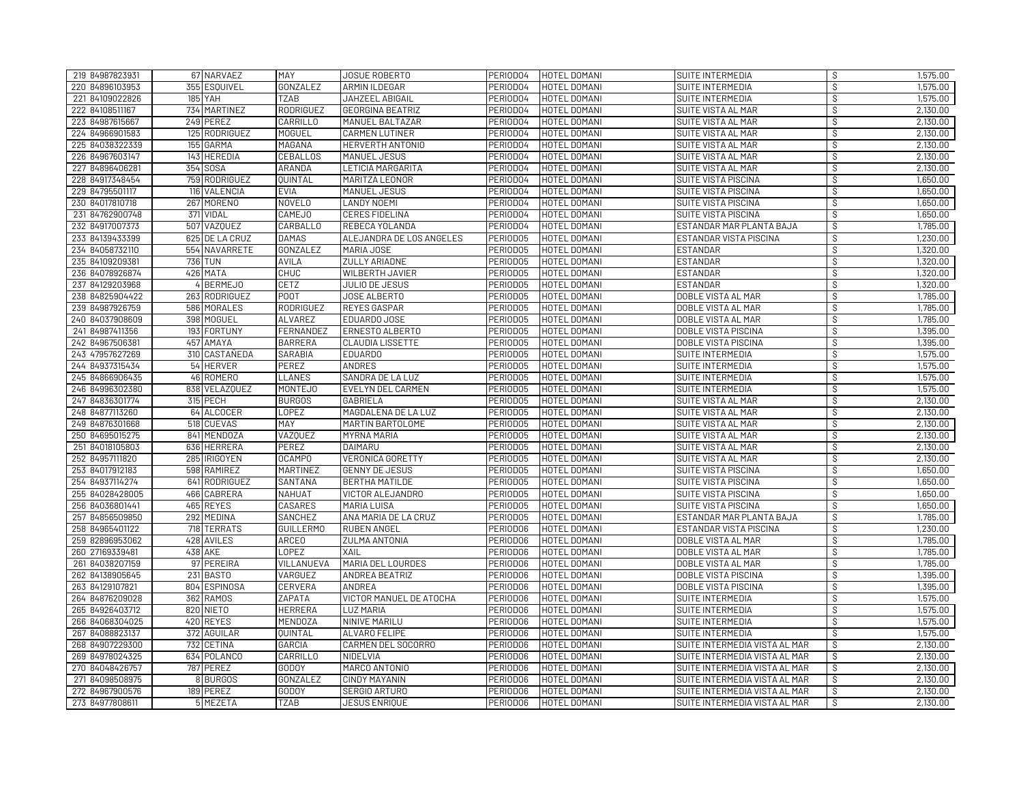| 219 84987823931 | 67 NARVAEZ     | MAY               | JOSUE ROBERTO            | PERIOD04             | HOTEL DOMANI        | SUITE INTERMEDIA              | S       | 1,575.00             |
|-----------------|----------------|-------------------|--------------------------|----------------------|---------------------|-------------------------------|---------|----------------------|
| 220 84896103953 | 355 ESQUIVEL   | GONZALEZ          | ARMIN ILDEGAR            | PERIOD04             | HOTEL DOMANI        | SUITE INTERMEDIA              | s,      | 1,575.00             |
| 221 84109022826 | <b>185 YAH</b> | TZAB              | JAHZEEL ABIGAIL          | PERIOD04             | HOTEL DOMANI        | SUITE INTERMEDIA              | s,      | 1,575.00             |
| 222 84108511167 | 734 MARTINEZ   | <b>RODRIGUEZ</b>  | <b>GEORGINA BEATRIZ</b>  | PERIOD04             | HOTEL DOMANI        | SUITE VISTA AL MAR            | s       | 2,130.00             |
| 223 84987615667 | 249 PEREZ      | CARRILLO          | MANUEL BALTAZAR          | PERIOD04             | HOTEL DOMANI        | SUITE VISTA AL MAR            | S       | 2,130.00             |
| 224 84966901583 | 125 RODRIGUEZ  | <b>MOGUEL</b>     | <b>CARMEN LUTINER</b>    | PERIOD04             | HOTEL DOMANI        | SUITE VISTA AL MAR            | S       | 2,130.00             |
| 225 84038322339 | 155 GARMA      | MAGAÑA            | HERVERTH ANTONIO         | PERIOD04             | HOTEL DOMANI        | SUITE VISTA AL MAR            | S,      | 2,130.00             |
| 226 84967603147 | 143 HEREDIA    | CEBALLOS          | MANUEL JESUS             | PERIODO4             | HOTEL DOMANI        | SUITE VISTA AL MAR            | S       | 2,130.00             |
| 227 84896406281 | 354 SOSA       | ARANDA            | <b>LETICIA MARGARITA</b> | PERIOD04             | HOTEL DOMANI        | <b>SUITE VISTA AL MAR</b>     | s       | 2,130.00             |
| 228 84917348454 | 759 RODRIGUEZ  | QUINTAL           | MARITZA LEONOR           | PERIOD04             | HOTEL DOMANI        | SUITE VISTA PISCINA           | S.      | 1,650.00             |
| 229 84795501117 | 116 VALENCIA   | <b>EVIA</b>       | <b>MANUEL JESUS</b>      | PERIOD04             | HOTEL DOMANI        | SUITE VISTA PISCINA           | S       | 1,650.00             |
| 230 84017810718 | 267 MORENO     | <b>NOVELO</b>     | <b>LANDY NOEMI</b>       | PERIOD04             | HOTEL DOMANI        | <b>SUITE VISTA PISCINA</b>    | S       | 1,650.00             |
| 231 84762900748 | 371 VIDAL      | <b>CAMEJO</b>     | <b>CERES FIDELINA</b>    | PERIOD04             | <b>HOTEL DOMANI</b> | SUITE VISTA PISCINA           | े       | 1,650.00             |
| 232 84917007373 | 507 VAZQUEZ    | CARBALLO          | REBECA YOLANDA           | PERIOD04             | HOTEL DOMANI        | ESTANDAR MAR PLANTA BAJA      | S,      | 1,785.00             |
| 233 84139433399 | 625 DE LA CRUZ | <b>DAMAS</b>      | ALEJANDRA DE LOS ANGELES | PERIODO5             | HOTEL DOMANI        | ESTANDAR VISTA PISCINA        | s,      | 1,230.00             |
| 234 84058732110 | 554 NAVARRETE  | GONZALEZ          | MARIA JOSE               | PERIOD05             | HOTEL DOMANI        | ESTANDAR                      | s,      | 1,320.00             |
| 235 84109209381 | <b>736 TUN</b> | <b>AVILA</b>      | <b>ZULLY ARIADNE</b>     | PERIODO5             | HOTEL DOMANI        | <b>ESTANDAR</b>               | s,      | 1,320.00             |
| 236 84078926874 | 426 MATA       | <b>CHUC</b>       | <b>WILBERTH JAVIER</b>   | PERIOD05             | HOTEL DOMANI        | <b>ESTANDAR</b>               | S       | 1,320.00             |
| 237 84129203968 | 4 BERMEJO      | CETZ              | JULIO DE JESUS           | PERIODO5             | HOTEL DOMANI        | <b>ESTANDAR</b>               | S       | 1,320.00             |
| 238 84825904422 | 263 RODRIGUEZ  | P <sub>0</sub> 0T | JOSE ALBERTO             | PERIODO5             | HOTEL DOMANI        | DOBLE VISTA AL MAR            | S       | 1,785.00             |
| 239 84987926759 | 586 MORALES    | RODRIGUEZ         | <b>REYES GASPAR</b>      | PERIODO5             | HOTEL DOMANI        | DOBLE VISTA AL MAR            | S       | 1,785.00             |
| 240 84037908609 | 398 MOGUEL     | <b>ALVAREZ</b>    | EDUARDO JOSE             | PERIOD05             | <b>HOTEL DOMANI</b> | DOBLE VISTA AL MAR            | s,      | 1,785.00             |
| 241 84987411356 | 193 FORTUNY    | FERNANDEZ         | ERNESTO ALBERTO          | PERIOD05             | HOTEL DOMANI        | DOBLE VISTA PISCINA           | S.      | 1,395.00             |
| 242 84967506381 | 457 AMAYA      | <b>BARRERA</b>    | <b>CLAUDIA LISSETTE</b>  | PERIODO5             | HOTEL DOMANI        | DOBLE VISTA PISCINA           | S       | 1,395.00             |
| 243 47957627269 | 310 CASTAÑEDA  | SARABIA           | EDUARD0                  | PERIODO5             | HOTEL DOMANI        | SUITE INTERMEDIA              | s,      | 1,575.00             |
| 244 84937315434 | 54 HERVER      | <b>PEREZ</b>      | <b>ANDRES</b>            | PERIODO5             | HOTEL DOMANI        | SUITE INTERMEDIA              | S       | 1,575.00             |
| 245 84866906435 | 46 ROMERO      | <b>LLANES</b>     | SANDRA DE LA LUZ         | PERIOD05             | HOTEL DOMANI        | SUITE INTERMEDIA              | s,      | 1,575.00             |
| 246 84996302380 | 838 VELAZQUEZ  | MONTEJ0           | EVELYN DEL CARMEN        | PERIOD05             | HOTEL DOMANI        | SUITE INTERMEDIA              | S,      | 1,575.00             |
| 247 84836301774 | 315 PECH       | <b>BURGOS</b>     | <b>GABRIELA</b>          | PERIOD05             | HOTEL DOMANI        | SUITE VISTA AL MAR            | S       | 2,130.00             |
| 248 84877113260 | 64 ALCOCER     | <b>LOPEZ</b>      | MAGDALENA DE LA LUZ      | PERIODO5             | <b>HOTEL DOMANI</b> | SUITE VISTA AL MAR            | s,      | 2,130.00             |
| 249 84876301668 | 518 CUEVAS     | <b>MAY</b>        | MARTIN BARTOLOME         | PERIOD05             | <b>HOTEL DOMANI</b> | <b>SUITE VISTA AL MAR</b>     | े       | 2,130.00             |
| 250 84695015275 | 841 MENDOZA    | <b>VAZQUEZ</b>    | <b>MYRNA MARIA</b>       | PERIODO5             | HOTEL DOMANI        | <b>SUITE VISTA AL MAR</b>     | S       | 2,130.00             |
| 251 84018105803 | 636 HERRERA    | PEREZ             | DAIMARU                  | PERIODO5             | HOTEL DOMANI        | SUITE VISTA AL MAR            | S       | 2,130.00             |
| 252 84957111820 | 285 RIGOYEN    | <b>OCAMPO</b>     | <b>VERONICA GORETTY</b>  | PERIODO5             | HOTEL DOMANI        | SUITE VISTA AL MAR            | S       | 2,130.00             |
| 253 84017912183 | 598 RAMIREZ    | <b>MARTINEZ</b>   | <b>GENNY DE JESUS</b>    | PERIOD05             | HOTEL DOMANI        | <b>SUITE VISTA PISCINA</b>    | Ŝ       | 1,650.00             |
| 254 84937114274 | 641 RODRIGUEZ  | SANTANA           | <b>BERTHA MATILDE</b>    | PERIOD05             | HOTEL DOMANI        | SUITE VISTA PISCINA           | s,      | 1,650.00             |
| 255 84028428005 | 466 CABRERA    | NAHUAT            | VICTOR ALEJANDRO         | PERIODO5             | HOTEL DOMANI        | SUITE VISTA PISCINA           | s       | 1,650.00             |
| 256 84036801441 | 465 REYES      | CASARES           | <b>MARIA LUISA</b>       | PERIOD05             | HOTEL DOMANI        | SUITE VISTA PISCINA           | s,      | 1,650.00             |
| 257 84856509850 | 292 MEDINA     | SANCHEZ           | ANA MARIA DE LA CRUZ     | PERIOD05             | HOTEL DOMANI        | ESTANDAR MAR PLANTA BAJA      | s,      | 1,785.00             |
| 258 84965401122 | 718 TERRATS    | <b>GUILLERMO</b>  | <b>RUBEN ANGEL</b>       | PERIODO6             | HOTEL DOMANI        | ESTANDAR VISTA PISCINA        | s       | 1,230.00             |
| 259 82896953062 | 428 AVILES     | ARCE <sub>0</sub> | <b>ZULMA ANTONIA</b>     | PERIODO6             | HOTEL DOMANI        | DOBLE VISTA AL MAR            | s,      | 1,785.00             |
| 260 27169339481 | 438 AKE        | <b>LOPEZ</b>      | XAIL                     | PERIODO6             | HOTEL DOMANI        | DOBLE VISTA AL MAR            | s       | 1,785.00             |
| 261 84038207159 | 97 PEREIRA     | VILLANUEVA        | MARIA DEL LOURDES        | PERIODO6             | HOTEL DOMANI        | DOBLE VISTA AL MAR            | S.      | 1,785.00             |
|                 | 231 BASTO      | <b>VARGUEZ</b>    | <b>ANDREA BEATRIZ</b>    |                      | HOTEL DOMANI        |                               |         |                      |
| 262 84138905645 |                |                   | ANDREA                   | PERIODO6<br>PERIODO6 | HOTEL DOMANI        | DOBLE VISTA PISCINA           | s,<br>s | 1,395.00<br>1,395.00 |
| 263 84129107821 | 804 ESPINOSA   | CERVERA           |                          |                      |                     | <b>DOBLE VISTA PISCINA</b>    |         |                      |
| 264 84876209028 | 362 RAMOS      | ΖΑΡΑΤΑ            | VICTOR MANUEL DE ATOCHA  | PERIODO6             | HOTEL DOMANI        | SUITE INTERMEDIA              | Ŝ       | 1,575.00             |
| 265 84926403712 | 820 NIETO      | <b>HERRERA</b>    | <b>LUZ MARIA</b>         | PERIODO6             | HOTEL DOMANI        | SUITE INTERMEDIA              | s,      | 1,575.00             |
| 266 84068304025 | 420 REYES      | <b>MENDOZA</b>    | NINIVE MARILU            | PERIODO6             | HOTEL DOMANI        | SUITE INTERMEDIA              | S       | 1,575.00             |
| 267 84088823137 | 372 AGUILAR    | <b>QUINTAL</b>    | ALVARO FELIPE            | PERIODO6             | HOTEL DOMANI        | SUITE INTERMEDIA              | s,      | 1,575.00             |
| 268 84907229300 | 732 CETINA     | GARCIA            | CARMEN DEL SOCORRO       | PERIODO6             | HOTEL DOMANI        | SUITE INTERMEDIA VISTA AL MAR | s,      | 2,130.00             |
| 269 84978024325 | 634 POLANCO    | CARRILLO          | <b>NIDELVIA</b>          | PERIODO6             | HOTEL DOMANI        | SUITE INTERMEDIA VISTA AL MAR | े       | 2,130.00             |
| 270 84048426757 | 787 PEREZ      | <b>GODOY</b>      | MARCO ANTONIO            | PERIODO6             | HOTEL DOMANI        | SUITE INTERMEDIA VISTA AL MAR | S.      | 2,130.00             |
| 271 84098508975 | 8 BURGOS       | GONZALEZ          | <b>CINDY MAYANIN</b>     | PERIODO6             | HOTEL DOMANI        | SUITE INTERMEDIA VISTA AL MAR | s,      | 2,130.00             |
| 272 84967900576 | 189 PEREZ      | <b>GODOY</b>      | SERGIO ARTURO            | PERIODO6             | HOTEL DOMANI        | SUITE INTERMEDIA VISTA AL MAR | S       | 2,130.00             |
| 273 84977808611 | 5 MEZETA       | <b>TZAB</b>       | <b>JESUS ENRIQUE</b>     | PERIODO6             | HOTEL DOMANI        | SUITE INTERMEDIA VISTA AL MAR | S       | 2,130.00             |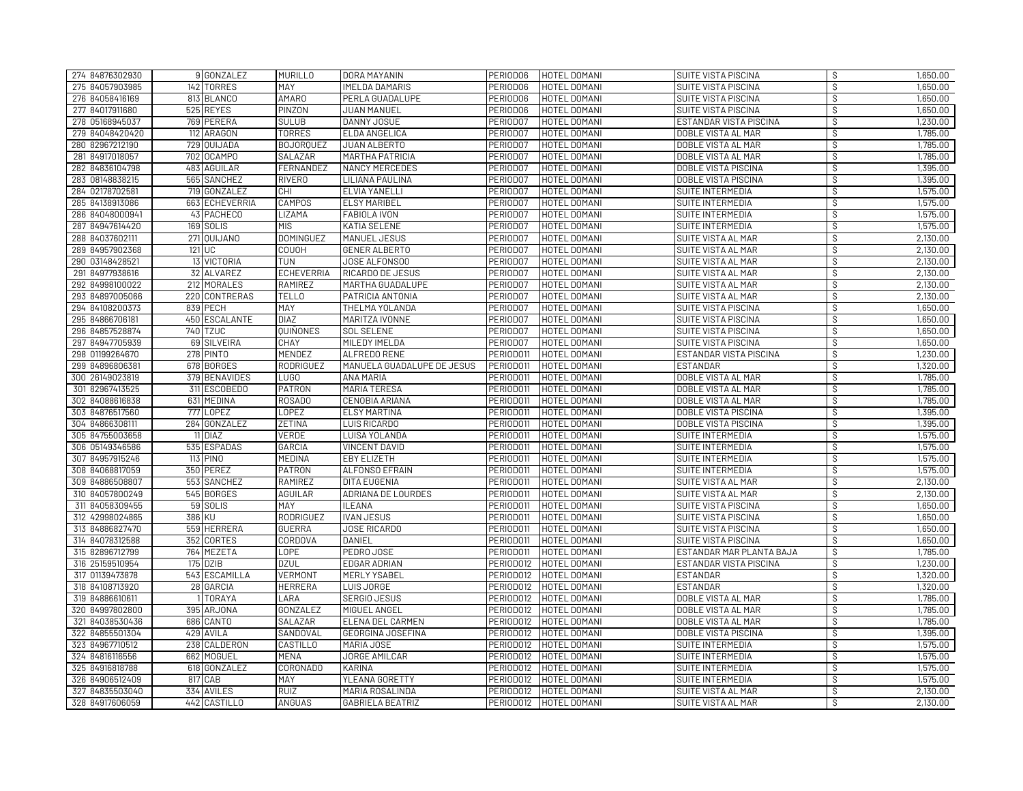| 274 84876302930 | 9 GONZALEZ     | <b>MURILLO</b>    | DORA MAYANIN               | PERIODO6  | HOTEL DOMANI             | <b>SUITE VISTA PISCINA</b>  | S       | 1,650.00             |
|-----------------|----------------|-------------------|----------------------------|-----------|--------------------------|-----------------------------|---------|----------------------|
| 275 84057903985 | 142 TORRES     | MAY               | <b>IMELDA DAMARIS</b>      | PERIODO6  | HOTEL DOMANI             | <b>SUITE VISTA PISCINA</b>  | s,      | 1,650.00             |
| 276 84058416169 | 813 BLANCO     | <b>AMARO</b>      | PERLA GUADALUPE            | PERIODO6  | HOTEL DOMANI             | SUITE VISTA PISCINA         | s,      | 1,650.00             |
| 277 84017911680 | 525 REYES      | <b>PINZON</b>     | JUAN MANUEL                | PERIODO6  | HOTEL DOMANI             | SUITE VISTA PISCINA         | ंड      | 1,650.00             |
| 278 05168945037 | 769 PERERA     | <b>SULUB</b>      | DANNY JOSUE                | PERIOD07  | HOTEL DOMANI             | ESTANDAR VISTA PISCINA      | S       | 1,230.00             |
| 279 84048420420 | 112 ARAGON     | <b>TORRES</b>     | ELDA ANGELICA              | PERIOD07  | HOTEL DOMANI             | DOBLE VISTA AL MAR          | S       | 1,785.00             |
| 280 82967212190 | 729 QUIJADA    | <b>BOJORQUEZ</b>  | JUAN ALBERTO               | PERIOD07  | HOTEL DOMANI             | DOBLE VISTA AL MAR          | S,      | 1,785.00             |
| 281 84917018057 | 702 OCAMPO     | SALAZAR           | <b>MARTHA PATRICIA</b>     | PERIODO7  | HOTEL DOMANI             | DOBLE VISTA AL MAR          | S       | 1,785.00             |
| 282 84836104798 | 483 AGUILAR    | FERNANDEZ         | <b>NANCY MERCEDES</b>      | PERIOD07  | HOTEL DOMANI             | <b>DOBLE VISTA PISCINA</b>  | s       | 1,395.00             |
| 283 08148838215 | 565 SANCHEZ    | <b>RIVERO</b>     | LILIANA PAULINA            | PERIOD07  | HOTEL DOMANI             | DOBLE VISTA PISCINA         | S       | 1,395.00             |
| 284 02178702581 | 719 GONZALEZ   | <b>CHI</b>        | <b>ELVIA YANELLI</b>       | PERIODO7  | HOTEL DOMANI             | <b>SUITE INTERMEDIA</b>     | s,      | 1,575.00             |
| 285 84138913086 | 663 ECHEVERRIA | <b>CAMPOS</b>     | <b>ELSY MARIBEL</b>        | PERIOD07  | HOTEL DOMANI             | SUITE INTERMEDIA            | s,      | 1,575.00             |
| 286 84048000941 | 43 PACHECO     | <b>LIZAMA</b>     | FABIOLA IVON               | PERIOD07  | <b>HOTEL DOMANI</b>      | SUITE INTERMEDIA            | े       | 1,575.00             |
| 287 84947614420 | 169 SOLIS      | <b>MIS</b>        | <b>KATIA SELENE</b>        | PERIOD07  | HOTEL DOMANI             | SUITE INTERMEDIA            | S,      | 1,575.00             |
| 288 84037602111 | 271 OUIJANO    | <b>DOMINGUEZ</b>  | <b>MANUEL JESUS</b>        | PERIOD07  | HOTEL DOMANI             | SUITE VISTA AL MAR          | s,      | 2,130.00             |
| 289 84957902368 | 121 UC         | COUOH             | <b>GENER ALBERTO</b>       | PERIOD07  | HOTEL DOMANI             | SUITE VISTA AL MAR          | s,      | 2,130.00             |
| 290 03148428521 | 13 VICTORIA    | TUN               | JOSE ALFONSOO              | PERIOD07  | HOTEL DOMANI             | <b>SUITE VISTA AL MAR</b>   | s,      | 2,130.00             |
| 291 84977938616 | 32 ALVAREZ     | <b>ECHEVERRIA</b> | <b>RICARDO DE JESUS</b>    | PERIOD07  | HOTEL DOMANI             | SUITE VISTA AL MAR          | S       | 2,130.00             |
| 292 84998100022 | 212 MORALES    | RAMIREZ           | MARTHA GUADALUPE           | PERIOD07  | HOTEL DOMANI             | SUITE VISTA AL MAR          | S       | 2,130.00             |
| 293 84897005066 | 220 CONTRERAS  | <b>TELLO</b>      | PATRICIA ANTONIA           | PERIOD07  | HOTEL DOMANI             | SUITE VISTA AL MAR          | S       | 2,130.00             |
| 294 84108200373 | 839 PECH       | <b>MAY</b>        | THELMA YOLANDA             | PERIOD07  | HOTEL DOMANI             | SUITE VISTA PISCINA         | S       | 1,650.00             |
| 295 84866706181 | 450 ESCALANTE  | <b>DIAZ</b>       | MARITZA IVONNE             | PERIOD07  | <b>HOTEL DOMANI</b>      | SUITE VISTA PISCINA         | s,      | 1,650.00             |
| 296 84857528874 | 740 TZUC       | QUIÑONES          | <b>SOL SELENE</b>          | PERIOD07  | HOTEL DOMANI             | SUITE VISTA PISCINA         | S       | 1,650.00             |
| 297 84947705939 | 69 SILVEIRA    | CHAY              | MILEDY IMELDA              | PERIODO7  | HOTEL DOMANI             | SUITE VISTA PISCINA         | S       | 1,650.00             |
| 298 01199264670 | 278 PINTO      | <b>MENDEZ</b>     | <b>ALFREDO RENE</b>        | PERIOD011 | HOTEL DOMANI             | ESTANDAR VISTA PISCINA      | s,      | 1,230.00             |
| 299 84896806381 | 678 BORGES     | <b>RODRIGUEZ</b>  | MANUELA GUADALUPE DE JESUS | PERIOD011 | HOTEL DOMANI             | <b>ESTANDAR</b>             | S       | 1,320.00             |
| 300 26149023819 | 379 BENAVIDES  | LUG <sub>0</sub>  | <b>ANA MARIA</b>           | PERIODO11 | HOTEL DOMANI             | DOBLE VISTA AL MAR          | s,      | 1,785.00             |
| 301 82967413525 | 311 ESCOBEDO   | PATRON            | <b>MARIA TERESA</b>        | PERIODO11 | HOTEL DOMANI             | DOBLE VISTA AL MAR          | S       | 1,785.00             |
| 302 84088616838 | 631 MEDINA     | ROSADO            | CENOBIA ARIANA             | PERIODO11 | HOTEL DOMANI             | DOBLE VISTA AL MAR          | S       | 1,785.00             |
| 303 84876517560 | 777 LOPEZ      | <b>LOPEZ</b>      | <b>ELSY MARTINA</b>        | PERIODO11 | <b>HOTEL DOMANI</b>      | <b>DOBLE VISTA PISCINA</b>  | s,      | 1,395.00             |
| 304 84866308111 | 284 GONZALEZ   | <b>ZETINA</b>     | <b>LUIS RICARDO</b>        | PERIODO11 | HOTEL DOMANI             | <b>DOBLE VISTA PISCINA</b>  | े       | 1,395.00             |
| 305 84755003658 | 11 DIAZ        | <b>VERDE</b>      | LUISA YOLANDA              | PERIOD011 | HOTEL DOMANI             | SUITE INTERMEDIA            | S       | 1,575.00             |
| 306 05149346586 | 535 ESPADAS    | GARCIA            | <b>VINCENT DAVID</b>       | PERIODO11 | HOTEL DOMANI             | SUITE INTERMEDIA            | s,      | 1,575.00             |
| 307 84957915246 | 113 PINO       | MEDINA            | <b>EBY ELIZETH</b>         | PERIODO11 | HOTEL DOMANI             | SUITE INTERMEDIA            | S       | 1,575.00             |
| 308 84068817059 | 350 PEREZ      | <b>PATRON</b>     | <b>ALFONSO EFRAIN</b>      | PERIOD011 | HOTEL DOMANI             | SUITE INTERMEDIA            | S       | 1,575.00             |
| 309 84886508807 | 553 SANCHEZ    | RAMIREZ           | DITA EUGENIA               | PERIODO11 | HOTEL DOMANI             | SUITE VISTA AL MAR          | s,      | 2,130.00             |
| 310 84057800249 | 545 BORGES     | AGUILAR           | ADRIANA DE LOURDES         | PERIOD011 | HOTEL DOMANI             | SUITE VISTA AL MAR          | s       | 2,130.00             |
| 311 84058309455 | 59 SOLIS       | MAY               | <b>ILEANA</b>              | PERIODO11 | HOTEL DOMANI             | SUITE VISTA PISCINA         | s,      | 1,650.00             |
| 312 42998024865 | 386 KU         | RODRIGUEZ         | <b>IVAN JESUS</b>          | PERIODO11 | HOTEL DOMANI             | SUITE VISTA PISCINA         | s,      | 1,650.00             |
| 313 84886827470 | 559 HERRERA    | GUERRA            | <b>JOSE RICARDO</b>        | PERIODO11 | HOTEL DOMANI             | SUITE VISTA PISCINA         | s       | 1,650.00             |
| 314 84078312588 | 352 CORTES     | CORDOVA           | DANIEL                     | PERIODO11 | HOTEL DOMANI             | <b>SUITE VISTA PISCINA</b>  | s,      | 1,650.00             |
| 315 82896712799 | 764 MEZETA     | <b>LOPE</b>       | PEDRO JOSE                 | PERIODO11 | HOTEL DOMANI             | ESTANDAR MAR PLANTA BAJA    | s       | 1,785.00             |
| 316 25159510954 | 175 DZIB       | <b>DZUL</b>       | EDGAR ADRIAN               | PERIOD012 | HOTEL DOMANI             | ESTANDAR VISTA PISCINA      | S.      | 1,230.00             |
|                 | 543 ESCAMILLA  | <b>VERMONT</b>    | MERLY YSABEL               | PERIODO12 | HOTEL DOMANI             |                             |         |                      |
| 317 01139473878 |                |                   |                            | PERIOD012 | <b>HOTEL DOMANI</b>      | ESTANDAR<br><b>ESTANDAR</b> | s,<br>े | 1,320.00<br>1,320.00 |
| 318 84108713920 | 28 GARCIA      | <b>HERRERA</b>    | LUIS JORGE                 |           |                          |                             |         |                      |
| 319 84886610611 | <b>TORAYA</b>  | LARA              | <b>SERGIO JESUS</b>        | PERIOD012 | HOTEL DOMANI             | DOBLE VISTA AL MAR          | Ŝ       | 1,785.00             |
| 320 84997802800 | 395 ARJONA     | GONZALEZ          | MIGUEL ANGEL               | PERIOD012 | HOTEL DOMANI             | DOBLE VISTA AL MAR          | s,      | 1,785.00             |
| 321 84038530436 | 686 CANTO      | <b>SALAZAR</b>    | ELENA DEL CARMEN           | PERIOD012 | HOTEL DOMANI             | DOBLE VISTA AL MAR          | S       | 1,785.00             |
| 322 84855501304 | 429 AVILA      | SANDOVAL          | GEORGINA JOSEFINA          | PERIOD012 | HOTEL DOMANI             | DOBLE VISTA PISCINA         | s,      | 1,395.00             |
| 323 84967710512 | 238 CALDERON   | <b>CASTILLO</b>   | MARIA JOSE                 | PERIOD012 | HOTEL DOMANI             | SUITE INTERMEDIA            | s,      | 1,575.00             |
| 324 84816116556 | 662 MOGUEL     | <b>MENA</b>       | JORGE AMILCAR              | PERIOD012 | HOTEL DOMANI             | SUITE INTERMEDIA            | ंड      | 1,575.00             |
| 325 84916818788 | 618 GONZALEZ   | CORONADO          | <b>KARINA</b>              | PERIOD012 | HOTEL DOMANI             | SUITE INTERMEDIA            | S       | 1,575.00             |
| 326 84906512409 | 817 CAB        | MAY               | YLEANA GORETTY             | PERIOD012 | HOTEL DOMANI             | SUITE INTERMEDIA            | s,      | 1,575.00             |
| 327 84835503040 | 334 AVILES     | <b>RUIZ</b>       | MARIA ROSALINDA            | PERIOD012 | HOTEL DOMANI             | SUITE VISTA AL MAR          | S       | 2,130.00             |
| 328 84917606059 | 442 CASTILLO   | <b>ANGUAS</b>     | <b>GABRIELA BEATRIZ</b>    |           | PERIODO12   HOTEL DOMANI | SUITE VISTA AL MAR          | S       | 2,130.00             |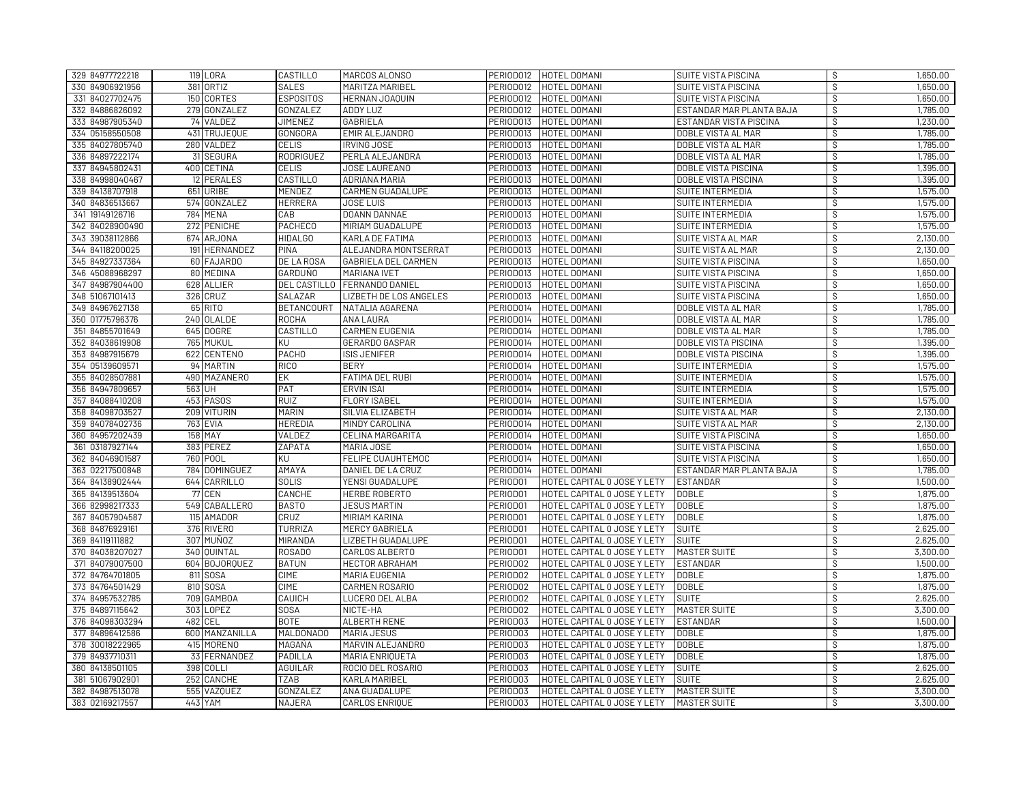| 329 84977722218 | <b>119 LORA</b> | CASTILLO          | MARCOS ALONSO                 |                       | PERIODO12   HOTEL DOMANI    | SUITE VISTA PISCINA        | S.                       | 1,650.00 |
|-----------------|-----------------|-------------------|-------------------------------|-----------------------|-----------------------------|----------------------------|--------------------------|----------|
| 330 84906921956 | 381 ORTIZ       | <b>SALES</b>      | MARITZA MARIBEL               | PERIOD012             | HOTEL DOMANI                | SUITE VISTA PISCINA        | े                        | 1,650.00 |
| 331 84027702475 | 150 CORTES      | <b>ESPOSITOS</b>  | HERNAN JOAQUIN                | PERIOD012             | HOTEL DOMANI                | <b>SUITE VISTA PISCINA</b> | $\overline{\mathcal{S}}$ | 1,650.00 |
| 332 84886826092 | 279 GONZALEZ    | GONZALEZ          | <b>ADDY LUZ</b>               | PERIOD012             | HOTEL DOMANI                | ESTANDAR MAR PLANTA BAJA   | S                        | 1,785.00 |
| 333 84987905340 | 74 VALDEZ       | <b>JIMENEZ</b>    | <b>GABRIELA</b>               | PERIOD013             | HOTEL DOMANI                | ESTANDAR VISTA PISCINA     | S,                       | 1,230.00 |
| 334 05158550508 | 431 TRUJEQUE    | <b>GONGORA</b>    | EMIR ALEJANDRO                | PERIOD013             | HOTEL DOMANI                | DOBLE VISTA AL MAR         | s,                       | 1,785.00 |
| 335 84027805740 | 280 VALDEZ      | CELIS             | <b>IRVING JOSE</b>            | PERIOD013             | HOTEL DOMANI                | DOBLE VISTA AL MAR         | S                        | 1,785.00 |
| 336 84897222174 | 31 SEGURA       | RODRIGUEZ         | PERLA ALEJANDRA               | PERIOD013             | HOTEL DOMANI                | DOBLE VISTA AL MAR         | S                        | 1,785.00 |
| 337 84945802431 | 400 CETINA      | <b>CELIS</b>      | JOSE LAUREANO                 | PERIOD013             | HOTEL DOMANI                | <b>DOBLE VISTA PISCINA</b> | S                        | 1,395.00 |
| 338 84998040467 | 12 PERALES      | <b>CASTILLO</b>   | ADRIANA MARIA                 | PERIOD013             | HOTEL DOMANI                | <b>DOBLE VISTA PISCINA</b> | S                        | 1,395.00 |
| 339 84138707918 | 651 URIBE       | MENDEZ            | CARMEN GUADALUPE              | PERIOD013             | HOTEL DOMANI                | SUITE INTERMEDIA           | S,                       | 1,575.00 |
| 340 84836513667 | 574 GONZALEZ    | <b>HERRERA</b>    | <b>JOSE LUIS</b>              | PERIOD013             | HOTEL DOMANI                | SUITE INTERMEDIA           | $\overline{\mathcal{S}}$ | 1,575.00 |
| 341 19149126716 | 784 MENA        | CAB               | DOANN DANNAE                  | PERIOD013             | HOTEL DOMANI                | SUITE INTERMEDIA           | s,                       | 1,575.00 |
| 342 84028900490 | 272 PENICHE     | <b>PACHECO</b>    | MIRIAM GUADALUPE              | PERIOD013             | HOTEL DOMANI                | SUITE INTERMEDIA           | $\mathcal{S}$            | 1,575.00 |
| 343 39038112866 | 674 ARJONA      | <b>HIDALGO</b>    | KARLA DE FATIMA               | PERIOD013             | HOTEL DOMANI                | SUITE VISTA AL MAR         | े                        | 2,130.00 |
| 344 84118200025 | 191 HERNANDEZ   | PIÑA              | ALEJANDRA MONTSERRAT          | PERIOD013             | HOTEL DOMANI                | SUITE VISTA AL MAR         | S                        | 2,130.00 |
| 345 84927337364 | 60 FAJARDO      | DE LA ROSA        | GABRIELA DEL CARMEN           | PERIOD013             | HOTEL DOMANI                | <b>SUITE VISTA PISCINA</b> | S                        | 1,650.00 |
| 346 45088968297 | 80 MEDINA       | GARDUÑO           | <b>MARIANA IVET</b>           | PERIOD013             | HOTEL DOMANI                | SUITE VISTA PISCINA        | $\mathcal{S}$            | 1,650.00 |
| 347 84987904400 | 628 ALLIER      |                   | DEL CASTILLO FERNANDO DANIEL  | PERIOD013             | HOTEL DOMANI                | SUITE VISTA PISCINA        | S,                       | 1,650.00 |
| 348 51067101413 | 326 CRUZ        | <b>SALAZAR</b>    | <b>LIZBETH DE LOS ANGELES</b> | PERIOD013             | HOTEL DOMANI                | SUITE VISTA PISCINA        | S                        | 1,650.00 |
| 349 84967627138 | 65 RITO         | <b>BETANCOURT</b> | NATALIA AGARENA               | PERIOD014             | HOTEL DOMANI                | DOBLE VISTA AL MAR         | S                        | 1,785.00 |
| 350 01775796376 | 240 OLALDE      | <b>ROCHA</b>      | <b>ANA LAURA</b>              | PERIOD014             | HOTEL DOMANI                | DOBLE VISTA AL MAR         | े                        | 1,785.00 |
| 351 84855701649 | 645 DOGRE       | CASTILLO          | <b>CARMEN EUGENIA</b>         | PERIOD014             | HOTEL DOMANI                | DOBLE VISTA AL MAR         | $\overline{\mathcal{S}}$ | 1,785.00 |
| 352 84038619908 | 765 MUKUL       | KU                | <b>GERARDO GASPAR</b>         | PERIOD014             | HOTEL DOMANI                | DOBLE VISTA PISCINA        | S                        | 1,395.00 |
| 353 84987915679 | 622 CENTENO     | <b>PACHO</b>      | <b>ISIS JENIFER</b>           | PERIOD014             | HOTEL DOMANI                | DOBLE VISTA PISCINA        | $\mathcal{S}$            | 1,395.00 |
| 354 05139609571 | 94 MARTIN       | <b>RICO</b>       | <b>BERY</b>                   | PERIOD014             | HOTEL DOMANI                | SUITE INTERMEDIA           | $\overline{\mathcal{S}}$ | 1,575.00 |
| 355 84028507881 | 490 MAZANERO    | ЕK                | <b>FATIMA DEL RUBI</b>        | PERIODO <sub>14</sub> | HOTEL DOMANI                | SUITE INTERMEDIA           | S                        | 1,575.00 |
| 356 84947809657 | 563 UH          | PAT               | <b>ERVIN ISAI</b>             | PERIOD014             | HOTEL DOMANI                | SUITE INTERMEDIA           | $\mathcal{S}$            | 1,575.00 |
| 357 84088410208 | 453 PASOS       | <b>RUIZ</b>       | <b>FLORY ISABEL</b>           | PERIOD014             | HOTEL DOMANI                | SUITE INTERMEDIA           | $\overline{\mathcal{S}}$ | 1,575.00 |
| 358 84098703527 | 209 VITURIN     | <b>MARIN</b>      | SILVIA ELIZABETH              | PERIOD014             | HOTEL DOMANI                | SUITE VISTA AL MAR         | S.                       | 2,130.00 |
| 359 84078402736 | 763 EVIA        | <b>HEREDIA</b>    | MINDY CAROLINA                | PERIOD014             | HOTEL DOMANI                | <b>SUITE VISTA AL MAR</b>  | $\overline{\mathcal{S}}$ | 2,130.00 |
| 360 84957202439 | 158 MAY         | VALDEZ            | CELINA MARGARITA              | PERIOD014             | HOTEL DOMANI                | SUITE VISTA PISCINA        | \$                       | 1,650.00 |
| 361 03187927144 | 383 PEREZ       | ΖΑΡΑΤΑ            | MARIA JOSE                    | PERIOD014             | HOTEL DOMANI                | <b>SUITE VISTA PISCINA</b> | S                        | 1,650.00 |
| 362 84046901587 | 760 POOL        | KU                | <b>FELIPE CUAUHTEMOC</b>      | PERIOD014             | HOTEL DOMANI                | SUITE VISTA PISCINA        | S                        | 1,650.00 |
| 363 02217500848 | 784 DOMINGUEZ   | <b>AMAYA</b>      | DANIEL DE LA CRUZ             | PERIOD014             | HOTEL DOMANI                | ESTANDAR MAR PLANTA BAJA   | S.                       | 1,785.00 |
| 364 84138902444 | 644 CARRILLO    | <b>SOLIS</b>      | YENSI GUADALUPE               | PERIOD01              | HOTEL CAPITAL O JOSE Y LETY | ESTANDAR                   | $\mathcal{S}$            | 1,500.00 |
| 365 84139513604 | 77 CEN          | CANCHE            | <b>HERBE ROBERTO</b>          | PERIOD01              | HOTEL CAPITAL O JOSE Y LETY | <b>DOBLE</b>               | ऽ                        | 1,875.00 |
| 366 82998217333 | 549 CABALLERO   | <b>BASTO</b>      | <b>JESUS MARTIN</b>           | PERIOD01              | HOTEL CAPITAL O JOSE Y LETY | <b>DOBLE</b>               | S                        | 1,875.00 |
| 367 84057904587 | 115 AMADOR      | CRUZ              | MIRIAM KARINA                 | PERIOD01              | HOTEL CAPITAL O JOSE Y LETY | <b>DOBLE</b>               | S,                       | 1,875.00 |
| 368 84876929161 | 376 RIVERO      | <b>TURRIZA</b>    | MERCY GABRIELA                | PERIOD01              | HOTEL CAPITAL O JOSE Y LETY | <b>SUITE</b>               | $\overline{\mathcal{S}}$ | 2,625.00 |
| 369 84119111882 | 307 MUÑOZ       | MIRANDA           | <b>LIZBETH GUADALUPE</b>      | PERIOD01              | HOTEL CAPITAL O JOSE Y LETY | <b>SUITE</b>               | $\mathcal{S}$            | 2,625.00 |
| 370 84038207027 | 340 QUINTAL     | <b>ROSADO</b>     | CARLOS ALBERTO                | PERIOD01              | HOTEL CAPITAL O JOSE Y LETY | MASTER SUITE               | S                        | 3,300.00 |
| 371 84079007500 | 604 BOJOROUEZ   | <b>BATUN</b>      | <b>HECTOR ABRAHAM</b>         | PERIOD02              | HOTEL CAPITAL O JOSE Y LETY | <b>ESTANDAR</b>            | S                        | 1,500.00 |
| 372 84764701805 | 811 SOSA        | <b>CIME</b>       | MARIA EUGENIA                 | PERIODO2              | HOTEL CAPITAL O JOSE Y LETY | <b>DOBLE</b>               | $\mathcal{S}$            | 1,875.00 |
| 373 84764501429 | 810 SOSA        | <b>CIME</b>       | CARMEN ROSARIO                | PERIODO2              | HOTEL CAPITAL O JOSE Y LETY | <b>DOBLE</b>               | ऽ                        | 1,875,00 |
| 374 84957532785 | 709 GAMBOA      | CAUICH            | LUCERO DEL ALBA               | PERIODO2              | HOTEL CAPITAL O JOSE Y LETY | <b>SUITE</b>               | S.                       | 2,625.00 |
| 375 84897115642 | 303 LOPEZ       | <b>SOSA</b>       | NICTE-HA                      | PERIODO2              | HOTEL CAPITAL O JOSE Y LETY | <b>MASTER SUITE</b>        | $\mathcal{S}$            | 3,300.00 |
| 376 84098303294 | 482 CEL         | <b>BOTE</b>       | <b>ALBERTH RENE</b>           | PERIOD03              | HOTEL CAPITAL O JOSE Y LETY | <b>ESTANDAR</b>            | े                        | 1,500.00 |
| 377 84896412586 | 600 MANZANILLA  | MALDONADO         | <b>MARIA JESUS</b>            | PERIOD03              | HOTEL CAPITAL O JOSE Y LETY | <b>DOBLE</b>               | \$                       | 1,875.00 |
| 378 30018222965 | 415 MORENO      | MAGAÑA            | MARVIN ALEJANDRO              | PERIOD03              | HOTEL CAPITAL O JOSE Y LETY | <b>DOBLE</b>               | s,                       | 1,875.00 |
| 379 84937710311 | 33 FERNANDEZ    | PADILLA           | MARIA ENRIQUETA               | PERIOD03              | HOTEL CAPITAL O JOSE Y LETY | <b>DOBLE</b>               | S                        | 1,875.00 |
| 380 84138501105 | 398 COLLI       | <b>AGUILAR</b>    | ROCIO DEL ROSARIO             | PERIOD03              | HOTEL CAPITAL O JOSE Y LETY | <b>SUITE</b>               | S                        | 2,625.00 |
| 381 51067902901 | 252 CANCHE      | <b>TZAB</b>       | <b>KARLA MARIBEL</b>          | PERIOD03              | HOTEL CAPITAL O JOSE Y LETY | <b>SUITE</b>               | S,                       | 2,625.00 |
| 382 84987513078 | 555 VAZOUEZ     | GONZALEZ          | ANA GUADALUPE                 | PERIOD03              | HOTEL CAPITAL O JOSE Y LETY | MASTER SUITE               | s                        | 3,300.00 |
| 383 02169217557 | 443 YAM         | NAJERA            | CARLOS ENRIQUE                | PERIOD03              | HOTEL CAPITAL O JOSE Y LETY | <b>MASTER SUITE</b>        | $\mathcal{S}$            | 3,300.00 |
|                 |                 |                   |                               |                       |                             |                            |                          |          |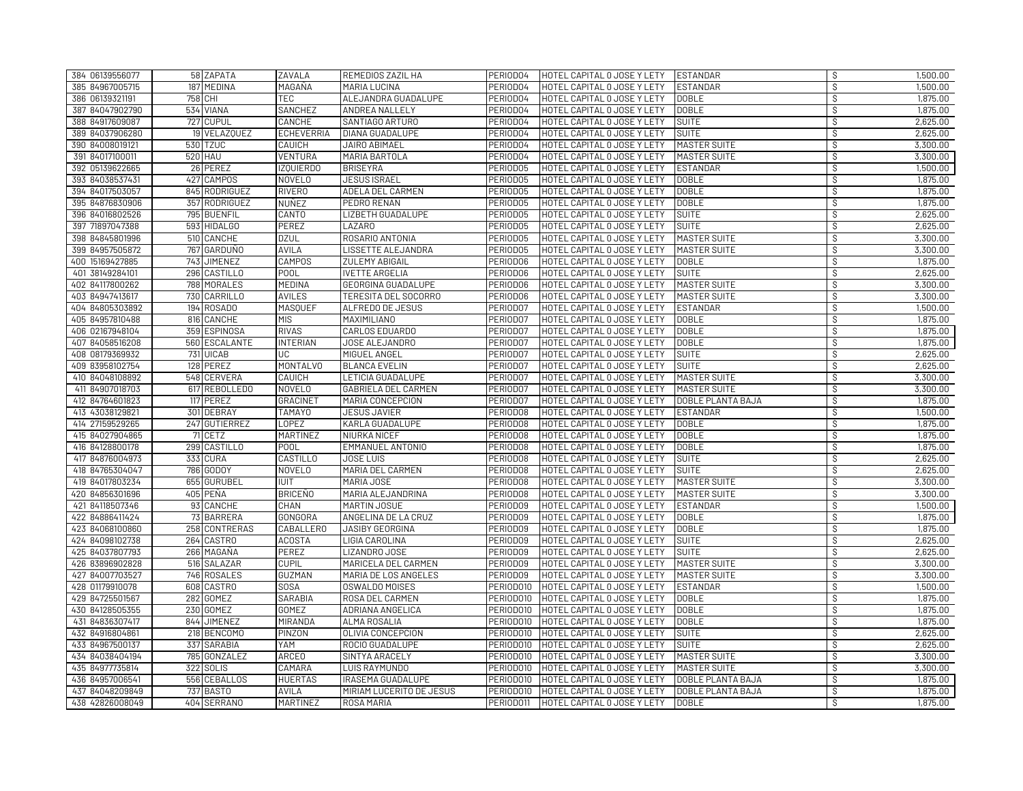| 384 06139556077 | 58 ZAPATA      | ZAVALA            | REMEDIOS ZAZIL HA          | PERIOD04  | HOTEL CAPITAL O JOSE Y LETY | <b>ESTANDAR</b>     | -S                       | 1,500.00 |
|-----------------|----------------|-------------------|----------------------------|-----------|-----------------------------|---------------------|--------------------------|----------|
| 385 84967005715 | 187 MEDINA     | MAGAÑA            | MARIA LUCINA               | PERIOD04  | HOTEL CAPITAL O JOSE Y LETY | <b>ESTANDAR</b>     | $\mathcal{S}$            | 1,500.00 |
| 386 06139321191 | 758 CHI        | <b>TEC</b>        | ALEJANDRA GUADALUPE        | PERIODO4  | HOTEL CAPITAL 0 JOSE Y LETY | <b>DOBLE</b>        | ऽ                        | 1,875.00 |
| 387 84047902790 | 534 VIANA      | SANCHEZ           | ANDREA NALLELY             | PERIOD04  | HOTEL CAPITAL O JOSE Y LETY | <b>DOBLE</b>        | S.                       | 1,875.00 |
| 388 84917609087 | 727 CUPUL      | CANCHE            | SANTIAGO ARTURO            | PERIODO4  | HOTEL CAPITAL O JOSE Y LETY | <b>SUITE</b>        | S                        | 2,625.00 |
| 389 84037906280 | 19 VELAZQUEZ   | <b>ECHEVERRIA</b> | DIANA GUADALUPE            | PERIOD04  | HOTEL CAPITAL O JOSE Y LETY | <b>SUITE</b>        | ऽ                        | 2,625.00 |
| 390 84008019121 | 530 TZUC       | CAUICH            | JAIRO ABIMAEL              | PERIOD04  | HOTEL CAPITAL O JOSE Y LETY | MASTER SUITE        | S                        | 3,300.00 |
| 391 84017100011 | <b>520 HAU</b> | VENTURA           | MARIA BARTOLA              | PERIODO4  | HOTEL CAPITAL O JOSE Y LETY | <b>MASTER SUITE</b> | S,                       | 3,300.00 |
| 392 05139622665 | 26 PEREZ       | <b>IZQUIERDO</b>  | <b>BRISEYRA</b>            | PERIOD05  | HOTEL CAPITAL O JOSE Y LETY | <b>ESTANDAR</b>     | $\overline{\mathcal{S}}$ | 1,500.00 |
| 393 84038537431 | 427 CAMPOS     | <b>NOVELO</b>     | <b>JESUS ISRAEL</b>        | PERIOD05  | HOTEL CAPITAL O JOSE Y LETY | <b>DOBLE</b>        | s,                       | 1,875.00 |
| 394 84017503057 | 845 RODRIGUEZ  | <b>RIVERO</b>     | ADELA DEL CARMEN           | PERIODO5  | HOTEL CAPITAL O JOSE Y LETY | <b>DOBLE</b>        | $\mathcal{S}$            | 1,875.00 |
| 395 84876830906 | 357 RODRIGUEZ  | NUÑEZ             | PEDRO RENAN                | PERIOD05  | HOTEL CAPITAL O JOSE Y LETY | <b>DOBLE</b>        | ऽ                        | 1,875.00 |
| 396 84016802526 | 795 BUENFIL    | CANTO             | LIZBETH GUADALUPE          | PERIOD05  | HOTEL CAPITAL O JOSE Y LETY | <b>SUITE</b>        | S                        | 2,625.00 |
| 397 71897047388 | 593 HIDALGO    | <b>PEREZ</b>      | LAZARO                     | PERIOD05  | HOTEL CAPITAL O JOSE Y LETY | <b>SUITE</b>        | $\mathcal{S}$            | 2,625.00 |
| 398 84845801996 | 510 CANCHE     | <b>DZUL</b>       | ROSARIO ANTONIA            | PERIOD05  | HOTEL CAPITAL O JOSE Y LETY | <b>MASTER SUITE</b> | \$                       | 3,300.00 |
| 399 84957505872 | 767 GARDUÑO    | <b>AVILA</b>      | LISSETTE ALEJANDRA         | PERIODO5  | HOTEL CAPITAL O JOSE Y LETY | MASTER SUITE        | S                        | 3,300.00 |
| 400 15169427885 | 743 JIMENEZ    | CAMPOS            | <b>ZULEMY ABIGAIL</b>      | PERIOD06  | HOTEL CAPITAL O JOSE Y LETY | <b>DOBLE</b>        | S                        | 1,875.00 |
| 401 38149284101 | 296 CASTILLO   | POOL              | <b>IVETTE ARGELIA</b>      | PERIODO6  | HOTEL CAPITAL O JOSE Y LETY | <b>SUITE</b>        | S.                       | 2,625.00 |
| 402 84117800262 | 788 MORALES    | MEDINA            | GEORGINA GUADALUPE         | PERIODO6  | HOTEL CAPITAL O JOSE Y LETY | <b>MASTER SUITE</b> | s,                       | 3,300.00 |
| 403 84947413617 | 730 CARRILLO   | <b>AVILES</b>     | TERESITA DEL SOCORRO       | PERIODO6  | HOTEL CAPITAL O JOSE Y LETY | <b>MASTER SUITE</b> | S                        | 3,300.00 |
| 404 84805303892 | 194 ROSADO     | <b>MASQUEF</b>    | ALFREDO DE JESUS           | PERIOD07  | HOTEL CAPITAL O JOSE Y LETY | <b>ESTANDAR</b>     | \$                       | 1,500.00 |
| 405 84957810488 | 816 CANCHE     | <b>MIS</b>        | <b>MAXIMILIANO</b>         | PERIOD07  | HOTEL CAPITAL O JOSE Y LETY | <b>DOBLE</b>        | S                        | 1,875.00 |
| 406 02167948104 | 359 ESPINOSA   | <b>RIVAS</b>      | CARLOS EDUARDO             | PERIODO7  | HOTEL CAPITAL O JOSE Y LETY | <b>DOBLE</b>        | $\overline{\mathcal{S}}$ | 1,875.00 |
| 407 84058516208 | 560 ESCALANTE  | <b>INTERIAN</b>   | JOSE ALEJANDRO             | PERIOD07  | HOTEL CAPITAL O JOSE Y LETY | <b>DOBLE</b>        | $\mathcal{S}$            | 1,875.00 |
| 408 08179369932 | 731 UICAB      | UC                | MIGUEL ANGEL               | PERIOD07  | HOTEL CAPITAL O JOSE Y LETY | <b>SUITE</b>        | S,                       | 2,625.00 |
| 409 83958102754 | 128 PEREZ      | <b>MONTALVO</b>   | <b>BLANCA EVELIN</b>       | PERIOD07  | HOTEL CAPITAL O JOSE Y LETY | <b>SUITE</b>        | $\overline{\mathcal{S}}$ | 2,625.00 |
| 410 84048108892 | 548 CERVERA    | CAUICH            | LETICIA GUADALUPE          | PERIOD07  | HOTEL CAPITAL O JOSE Y LETY | MASTER SUITE        | $\mathcal{S}$            | 3,300.00 |
| 411 84907018703 | 617 REBOLLEDO  | <b>NOVELO</b>     | <b>GABRIELA DEL CARMEN</b> | PERIOD07  | HOTEL CAPITAL O JOSE Y LETY | MASTER SUITE        | ऽ                        | 3,300.00 |
| 412 84764601823 | 117 PEREZ      | <b>GRACINET</b>   | MARIA CONCEPCION           | PERIOD07  | HOTEL CAPITAL O JOSE Y LETY | DOBLE PLANTA BAJA   | S                        | 1,875.00 |
| 413 43038129821 | 301 DEBRAY     | <b>TAMAYO</b>     | <b>JESUS JAVIER</b>        | PERIODO8  | HOTEL CAPITAL O JOSE Y LETY | <b>ESTANDAR</b>     | $\mathcal{S}$            | 1,500.00 |
| 414 27159529265 | 247 GUTIERREZ  | <b>LOPEZ</b>      | KARLA GUADALUPE            | PERIODO8  | HOTEL CAPITAL O JOSE Y LETY | <b>DOBLE</b>        | $\overline{\mathcal{S}}$ | 1,875.00 |
| 415 84027904865 | 71 CETZ        | <b>MARTINEZ</b>   | NIURKA NICEF               | PERIODO8  | HOTEL CAPITAL O JOSE Y LETY | <b>DOBLE</b>        | S                        | 1,875.00 |
| 416 84128800178 | 299 CASTILLO   | <b>POOL</b>       | <b>EMMANUEL ANTONIO</b>    | PERIODO8  | HOTEL CAPITAL O JOSE Y LETY | <b>DOBLE</b>        | े                        | 1,875.00 |
| 417 84876004973 | 333 CURA       | CASTILLO          | JOSE LUIS                  | PERIODO8  | HOTEL CAPITAL O JOSE Y LETY | <b>SUITE</b>        | $\overline{\mathcal{S}}$ | 2,625.00 |
| 418 84765304047 | 786 GODOY      | <b>NOVELO</b>     | MARIA DEL CARMEN           | PERIOD08  | HOTEL CAPITAL O JOSE Y LETY | <b>SUITE</b>        | s,                       | 2,625.00 |
| 419 84017803234 | 655 GURUBEL    | <b>IUIT</b>       | MARIA JOSE                 | PERIODO8  | HOTEL CAPITAL O JOSE Y LETY | <b>MASTER SUITE</b> | $\mathcal{S}$            | 3,300.00 |
| 420 84856301696 | 405 PEÑA       | <b>BRICEÑO</b>    | MARIA ALEJANDRINA          | PERIODO8  | HOTEL CAPITAL O JOSE Y LETY | <b>MASTER SUITE</b> | ऽ                        | 3,300.00 |
| 421 84118507346 | 93 CANCHE      | CHAN              | MARTIN JOSUE               | PERIOD09  | HOTEL CAPITAL O JOSE Y LETY | <b>ESTANDAR</b>     | S,                       | 1,500.00 |
| 422 84886411424 | 73 BARRERA     | GONGORA           | ANGELINA DE LA CRUZ        | PERIODO9  | HOTEL CAPITAL 0 JOSE Y LETY | <b>DOBLE</b>        | S                        | 1,875,00 |
| 423 84068100860 | 258 CONTRERAS  | CABALLERO         | JASIBY GEORGINA            | PERIODO9  | HOTEL CAPITAL O JOSE Y LETY | <b>DOBLE</b>        | S,                       | 1,875.00 |
| 424 84098102738 | 264 CASTRO     | <b>ACOSTA</b>     | LIGIA CAROLINA             | PERIODO9  | HOTEL CAPITAL O JOSE Y LETY | <b>SUITE</b>        | s,                       | 2,625.00 |
| 425 84037807793 | 266 MAGAÑA     | <b>PEREZ</b>      | LIZANDRO JOSE              | PERIODO9  | HOTEL CAPITAL O JOSE Y LETY | <b>SUITE</b>        | ऽ                        | 2,625.00 |
| 426 83896902828 | 516 SALAZAR    | <b>CUPIL</b>      | MARICELA DEL CARMEN        | PERIODO9  | HOTEL CAPITAL O JOSE Y LETY | MASTER SUITE        | \$                       | 3,300.00 |
| 427 84007703527 | 746 ROSALES    | <b>GUZMAN</b>     | MARIA DE LOS ANGELES       | PERIODO9  | HOTEL CAPITAL O JOSE Y LETY | MASTER SUITE        | s,                       | 3,300.00 |
| 428 01179910078 | 608 CASTRO     | <b>SOSA</b>       | OSWALDO MOISES             | PERIODO10 | HOTEL CAPITAL O JOSE Y LETY | <b>ESTANDAR</b>     | S                        | 1,500.00 |
| 429 84725501567 | 282 GOMEZ      | <b>SARABIA</b>    | ROSA DEL CARMEN            | PERIODO10 | HOTEL CAPITAL O JOSE Y LETY | <b>DOBLE</b>        | $\mathcal{S}$            | 1,875.00 |
| 430 84128505355 | 230 GOMEZ      | GOMEZ             | ADRIANA ANGELICA           | PERIOD010 | HOTEL CAPITAL O JOSE Y LETY | <b>DOBLE</b>        | S,                       | 1,875.00 |
| 431 84836307417 | 844 JIMENEZ    | MIRANDA           | <b>ALMA ROSALIA</b>        | PERIODO10 | HOTEL CAPITAL O JOSE Y LETY | <b>DOBLE</b>        | s,                       | 1,875.00 |
| 432 84916804861 | 218 BENCOMO    | <b>PINZON</b>     | OLIVIA CONCEPCION          | PERIOD010 | HOTEL CAPITAL O JOSE Y LETY | <b>SUITE</b>        | $\mathcal{S}$            | 2,625.00 |
| 433 84967500137 | 337 SARABIA    | YAM               | ROCIO GUADALUPE            | PERIODO10 | HOTEL CAPITAL O JOSE Y LETY | <b>SUITE</b>        | $\mathcal{S}$            | 2,625.00 |
| 434 84038404194 | 785 GONZALEZ   | <b>ARCEO</b>      | SINTYA ARACELY             | PERIOD010 | HOTEL CAPITAL O JOSE Y LETY | MASTER SUITE        | S.                       | 3,300.00 |
| 435 84977735814 | 322 SOLIS      | CAMARA            | <b>LUIS RAYMUNDO</b>       | PERIODO10 | HOTEL CAPITAL O JOSE Y LETY | MASTER SUITE        | S.                       | 3,300.00 |
| 436 84957006541 | 556 CEBALLOS   | <b>HUERTAS</b>    | <b>IRASEMA GUADALUPE</b>   | PERIODO10 | HOTEL CAPITAL O JOSE Y LETY | DOBLE PLANTA BAJA   | s,                       | 1,875.00 |
| 437 84048209849 | 737 BASTO      | AVILA             | MIRIAM LUCERITO DE JESUS   | PERIOD010 | HOTEL CAPITAL O JOSE Y LETY | DOBLE PLANTA BAJA   | $\overline{\mathcal{S}}$ | 1,875.00 |
| 438 42826008049 | 404 SERRANO    | <b>MARTINEZ</b>   | ROSA MARIA                 | PERIODO11 | HOTEL CAPITAL O JOSE Y LETY | <b>DOBLE</b>        | ंड                       | 1,875,00 |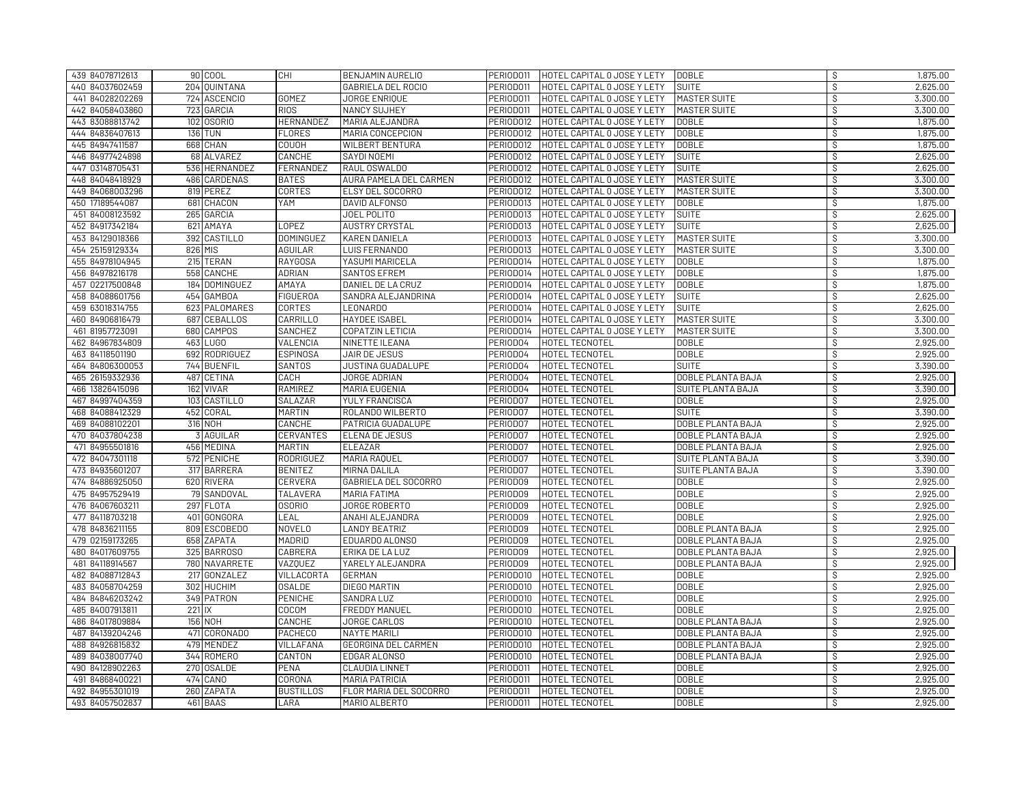| 439 84078712613 |          | 90 COOL        | CHI              | BENJAMIN AURELIO         | PERIODO11 | HOTEL CAPITAL O JOSE Y LETY | <b>DOBLE</b>             | S                        | 1,875.00 |
|-----------------|----------|----------------|------------------|--------------------------|-----------|-----------------------------|--------------------------|--------------------------|----------|
| 440 84037602459 |          | 204 QUINTANA   |                  | GABRIELA DEL ROCIO       | PERIODO11 | HOTEL CAPITAL O JOSE Y LETY | <b>SUITE</b>             | $\mathcal{S}$            | 2,625.00 |
| 441 84028202269 |          | 724 ASCENCIO   | <b>GOMEZ</b>     | JORGE ENRIQUE            | PERIOD011 | HOTEL CAPITAL O JOSE Y LETY | MASTER SUITE             | ऽ                        | 3,300.00 |
| 442 84058403860 |          | 723 GARCIA     | <b>RIOS</b>      | <b>NANCY SUJHEY</b>      | PERIOD011 | HOTEL CAPITAL O JOSE Y LETY | MASTER SUITE             | S.                       | 3,300.00 |
| 443 83088813742 |          | 102 0SORIO     | <b>HERNANDEZ</b> | MARIA ALEJANDRA          | PERIOD012 | HOTEL CAPITAL O JOSE Y LETY | <b>DOBLE</b>             | $\mathcal{S}$            | 1,875.00 |
| 444 84836407613 |          | <b>136 TUN</b> | <b>FLORES</b>    | MARIA CONCEPCION         | PERIOD012 | HOTEL CAPITAL O JOSE Y LETY | <b>DOBLE</b>             | ऽ                        | 1,875.00 |
| 445 84947411587 |          | 668 CHAN       | <b>COUOH</b>     | WILBERT BENTURA          | PERIOD012 | HOTEL CAPITAL O JOSE Y LETY | <b>DOBLE</b>             | S                        | 1,875.00 |
| 446 84977424898 |          | 68 ALVAREZ     | CANCHE           | SAYDI NOEMI              | PERIOD012 | HOTEL CAPITAL O JOSE Y LETY | <b>SUITE</b>             | $\mathcal{S}$            | 2,625.00 |
| 447 03148705431 |          | 536 HERNANDEZ  | FERNANDEZ        | RAUL OSWALDO             | PERIOD012 | HOTEL CAPITAL O JOSE Y LETY | <b>SUITE</b>             | S                        | 2,625.00 |
| 448 84048418929 |          | 486 CARDENAS   | <b>BATES</b>     | AURA PAMELA DEL CARMEN   | PERIOD012 | HOTEL CAPITAL O JOSE Y LETY | MASTER SUITE             | $\mathcal{S}$            | 3,300.00 |
| 449 84068003296 |          | 819 PEREZ      | <b>CORTES</b>    | <b>ELSY DEL SOCORRO</b>  | PERIOD012 | HOTEL CAPITAL O JOSE Y LETY | <b>MASTER SUITE</b>      | $\mathcal{S}$            | 3,300.00 |
| 450 17189544087 |          | 681 CHACON     | YAM              | DAVID ALFONSO            | PERIOD013 | HOTEL CAPITAL O JOSE Y LETY | <b>DOBLE</b>             | S.                       | 1,875.00 |
| 451 84008123592 |          | 265 GARCIA     |                  | <b>JOEL POLITO</b>       | PERIOD013 | HOTEL CAPITAL O JOSE Y LETY | <b>SUITE</b>             | $\mathcal{S}$            | 2,625.00 |
| 452 84917342184 |          | 621 AMAYA      | <b>LOPEZ</b>     | <b>AUSTRY CRYSTAL</b>    | PERIOD013 | HOTEL CAPITAL O JOSE Y LETY | <b>SUITE</b>             | $\mathcal{S}$            | 2,625.00 |
| 453 84129018366 |          | 392 CASTILLO   | <b>DOMINGUEZ</b> | <b>KAREN DANIELA</b>     | PERIOD013 | HOTEL CAPITAL O JOSE Y LETY | <b>MASTER SUITE</b>      | $\mathcal{S}$            | 3,300.00 |
| 454 25159129334 |          | 826 MIS        | AGUILAR          | <b>LUIS FERNANDO</b>     | PERIOD013 | HOTEL CAPITAL O JOSE Y LETY | MASTER SUITE             | S,                       | 3,300.00 |
| 455 84978104945 |          | 215 TERAN      | <b>RAYGOSA</b>   | YASUMI MARICELA          | PERIOD014 | HOTEL CAPITAL O JOSE Y LETY | <b>DOBLE</b>             | $\mathcal{S}$            | 1,875.00 |
| 456 84978216178 |          | 558 CANCHE     | <b>ADRIAN</b>    | SANTOS EFREM             | PERIOD014 | HOTEL CAPITAL O JOSE Y LETY | <b>DOBLE</b>             | S                        | 1,875.00 |
| 457 02217500848 |          | 184 DOMINGUEZ  | ΑΜΑΥΑ            | DANIEL DE LA CRUZ        | PERIOD014 | HOTEL CAPITAL O JOSE Y LETY | <b>DOBLE</b>             | े                        | 1,875.00 |
| 458 84088601756 |          | 454 GAMBOA     | <b>FIGUEROA</b>  | SANDRA ALEJANDRINA       | PERIOD014 | HOTEL CAPITAL O JOSE Y LETY | <b>SUITE</b>             | $\overline{\mathcal{S}}$ | 2,625.00 |
| 459 63018314755 |          | 623 PALOMARES  | <b>CORTES</b>    | <b>LEONARDO</b>          | PERIOD014 | HOTEL CAPITAL O JOSE Y LETY | <b>SUITE</b>             | S                        | 2,625.00 |
| 460 84906816479 |          | 687 CEBALLOS   | CARRILLO         | <b>HAYDEE ISABEL</b>     | PERIOD014 | HOTEL CAPITAL O JOSE Y LETY | <b>MASTER SUITE</b>      | $\mathcal{S}$            | 3,300.00 |
| 461 81957723091 |          | 680 CAMPOS     | <b>SANCHEZ</b>   | COPATZIN LETICIA         | PERIOD014 | HOTEL CAPITAL O JOSE Y LETY | MASTER SUITE             | $\overline{\mathcal{S}}$ | 3,300.00 |
| 462 84967834809 |          | 463 LUGO       | VALENCIA         | NINETTE ILEANA           | PERIODO4  | HOTEL TECNOTEL              | <b>DOBLE</b>             | $\mathcal{S}$            | 2,925.00 |
| 463 84118501190 |          | 692 RODRIGUEZ  | <b>ESPINOSA</b>  | JAIR DE JESUS            | PERIOD04  | HOTEL TECNOTEL              | <b>DOBLE</b>             | $\mathcal{S}$            | 2,925.00 |
| 464 84806300053 |          | 744 BUENFIL    | <b>SANTOS</b>    | <b>JUSTINA GUADALUPE</b> | PERIOD04  | HOTEL TECNOTEL              | <b>SUITE</b>             | S                        | 3,390.00 |
| 465 26159332936 |          | 487 CETINA     | CACH             | <b>JORGE ADRIAN</b>      | PERIOD04  | HOTEL TECNOTEL              | DOBLE PLANTA BAJA        | $\mathcal{S}$            | 2,925.00 |
| 466 13826415096 |          | 162 VIVAR      | <b>RAMIREZ</b>   | MARIA EUGENIA            | PERIOD04  | HOTEL TECNOTEL              | <b>SUITE PLANTA BAJA</b> | $\overline{\mathcal{S}}$ | 3,390.00 |
| 467 84997404359 |          | 103 CASTILLO   | SALAZAR          | YULY FRANCISCA           | PERIOD07  | HOTEL TECNOTEL              | <b>DOBLE</b>             | S.                       | 2,925.00 |
| 468 84088412329 |          | 452 CORAL      | <b>MARTIN</b>    | ROLANDO WILBERTO         | PERIOD07  | HOTEL TECNOTEL              | <b>SUITE</b>             | $\mathcal{S}$            | 3,390.00 |
| 469 84088102201 |          | 316 NOH        | CANCHE           | PATRICIA GUADALUPE       | PERIOD07  | HOTEL TECNOTEL              | DOBLE PLANTA BAJA        | ऽ                        | 2,925.00 |
| 470 84037804238 |          | 3 AGUILAR      | CERVANTES        | ELENA DE JESUS           | PERIOD07  | HOTEL TECNOTEL              | DOBLE PLANTA BAJA        | S.                       | 2,925.00 |
| 471 84955501816 |          | 456 MEDINA     | <b>MARTIN</b>    | ELEAZAR                  | PERIOD07  | HOTEL TECNOTEL              | DOBLE PLANTA BAJA        | s,                       | 2,925.00 |
| 472 84047301118 |          | 572 PENICHE    | <b>RODRIGUEZ</b> | MARIA RAQUEL             | PERIOD07  | HOTEL TECNOTEL              | SUITE PLANTA BAJA        | S                        | 3,390.00 |
| 473 84935601207 |          | 317 BARRERA    | <b>BENITEZ</b>   | MIRNA DALILA             | PERIOD07  | HOTEL TECNOTEL              | <b>SUITE PLANTA BAJA</b> | $\mathcal{S}$            | 3,390.00 |
| 474 84886925050 |          | 620 RIVERA     | CERVERA          | GABRIELA DEL SOCORRO     | PERIOD09  | HOTEL TECNOTEL              | <b>DOBLE</b>             | S,                       | 2,925.00 |
| 475 84957529419 |          | 79 SANDOVAL    | <b>TALAVERA</b>  | MARIA FATIMA             | PERIODO9  | HOTEL TECNOTEL              | <b>DOBLE</b>             | s,                       | 2,925.00 |
| 476 84067603211 |          | 297 FLOTA      | <b>OSORIO</b>    | <b>JORGE ROBERTO</b>     | PERIODO9  | HOTEL TECNOTEL              | <b>DOBLE</b>             | $\mathcal{S}$            | 2,925.00 |
| 477 84118703218 |          | 401 GONGORA    | LEAL             | ANAHI ALEJANDRA          | PERIODO9  | HOTEL TECNOTEL              | <b>DOBLE</b>             | $\mathcal{S}$            | 2,925.00 |
| 478 84836211155 |          | 809 ESCOBEDO   | NOVELO           | <b>LANDY BEATRIZ</b>     | PERIODO9  | HOTEL TECNOTEL              | DOBLE PLANTA BAJA        | S                        | 2,925.00 |
| 479 02159173265 |          | 658 ZAPATA     | MADRID           | EDUARDO ALONSO           | PERIOD09  | HOTEL TECNOTEL              | DOBLE PLANTA BAJA        | S.                       | 2,925.00 |
| 480 84017609755 |          | 325 BARROSO    | CABRERA          | ERIKA DE LA LUZ          | PERIODO9  | HOTEL TECNOTEL              | DOBLE PLANTA BAJA        | $\mathcal{S}$            | 2,925.00 |
| 481 84118914567 |          | 780 NAVARRETE  | <b>VAZQUEZ</b>   | YARELY ALEJANDRA         | PERIODO9  | HOTEL TECNOTEL              | DOBLE PLANTA BAJA        | $\overline{\mathcal{S}}$ | 2,925.00 |
| 482 84088712843 |          | 217 GONZALEZ   | VILLACORTA       | GERMAN                   | PERIOD010 | HOTEL TECNOTEL              | <b>DOBLE</b>             | S,                       | 2,925.00 |
| 483 84058704259 |          | 302 HUCHIM     | <b>OSALDE</b>    | <b>DIEGO MARTIN</b>      | PERIOD010 | HOTEL TECNOTEL              | <b>DOBLE</b>             | ऽ                        | 2,925.00 |
| 484 84846203242 |          | 349 PATRON     | <b>PENICHE</b>   | SANDRA LUZ               | PERIOD010 | HOTEL TECNOTEL              | <b>DOBLE</b>             | S                        | 2,925.00 |
| 485 84007913811 | $221$ IX |                | <b>COCOM</b>     | <b>FREDDY MANUEL</b>     | PERIODO10 | HOTEL TECNOTEL              | <b>DOBLE</b>             | $\mathcal{S}$            | 2,925.00 |
| 486 84017809884 |          | 156 NOH        | CANCHE           | JORGE CARLOS             | PERIOD010 | HOTEL TECNOTEL              | DOBLE PLANTA BAJA        | S.                       | 2,925.00 |
| 487 84139204246 |          | 471 CORONADO   | <b>PACHECO</b>   | <b>NAYTE MARILI</b>      | PERIODO10 | <b>HOTEL TECNOTEL</b>       | DOBLE PLANTA BAJA        | S                        | 2,925.00 |
| 488 84926815832 |          | 479 MENDEZ     | VILLAFAÑA        | GEORGINA DEL CARMEN      | PERIODO10 | HOTEL TECNOTEL              | DOBLE PLANTA BAJA        | $\mathcal{S}$            | 2,925.00 |
| 489 84038007740 |          | 344 ROMERO     | CANTON           | EDGAR ALONSO             | PERIODO10 | HOTEL TECNOTEL              | DOBLE PLANTA BAJA        | $\overline{\mathcal{S}}$ | 2,925.00 |
| 490 84128902263 |          | 270 OSALDE     | PEÑA             | CLAUDIA LINNET           | PERIODO11 | HOTEL TECNOTEL              | <b>DOBLE</b>             | S.                       | 2,925.00 |
| 491 84868400221 |          | 474 CANO       | CORONA           | <b>MARIA PATRICIA</b>    | PERIOD011 | HOTEL TECNOTEL              | <b>DOBLE</b>             | $\overline{\mathcal{S}}$ | 2,925.00 |
| 492 84955301019 |          | 260 ZAPATA     | <b>BUSTILLOS</b> | FLOR MARIA DEL SOCORRO   | PERIODO11 | HOTEL TECNOTEL              | <b>DOBLE</b>             | S.                       | 2,925.00 |
| 493 84057502837 |          | 461 BAAS       | LARA             | MARIO ALBERTO            | PERIODO11 | HOTEL TECNOTEL              | <b>DOBLE</b>             | S                        | 2,925.00 |